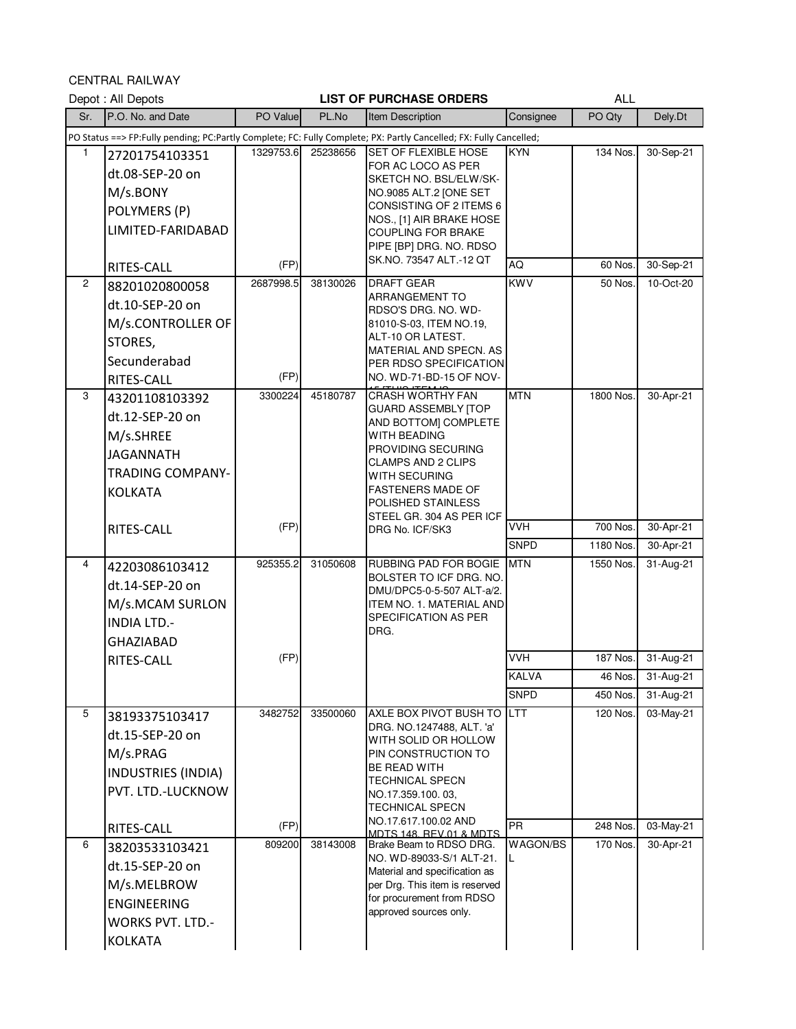CENTRAL RAILWAY

|                | Depot: All Depots                                                                                                   |           |          | <b>LIST OF PURCHASE ORDERS</b>                                                                                                                                                                                             |              | <b>ALL</b> |           |
|----------------|---------------------------------------------------------------------------------------------------------------------|-----------|----------|----------------------------------------------------------------------------------------------------------------------------------------------------------------------------------------------------------------------------|--------------|------------|-----------|
| Sr.            | P.O. No. and Date                                                                                                   | PO Value  | PL.No    | Item Description                                                                                                                                                                                                           | Consignee    | PO Qty     | Dely.Dt   |
|                |                                                                                                                     |           |          | PO Status ==> FP:Fully pending; PC:Partly Complete; FC: Fully Complete; PX: Partly Cancelled; FX: Fully Cancelled;                                                                                                         |              |            |           |
| 1              | 27201754103351<br>dt.08-SEP-20 on<br>M/s.BONY<br>POLYMERS (P)<br>LIMITED-FARIDABAD                                  | 1329753.6 | 25238656 | <b>SET OF FLEXIBLE HOSE</b><br>FOR AC LOCO AS PER<br>SKETCH NO. BSL/ELW/SK-<br>NO.9085 ALT.2 [ONE SET<br>CONSISTING OF 2 ITEMS 6<br>NOS., [1] AIR BRAKE HOSE<br>COUPLING FOR BRAKE<br>PIPE [BP] DRG. NO. RDSO              | <b>KYN</b>   | 134 Nos.   | 30-Sep-21 |
|                | RITES-CALL                                                                                                          | (FP)      |          | SK.NO. 73547 ALT.-12 QT                                                                                                                                                                                                    | AQ           | 60 Nos.    | 30-Sep-21 |
| $\overline{2}$ | 88201020800058                                                                                                      | 2687998.5 | 38130026 | <b>DRAFT GEAR</b>                                                                                                                                                                                                          | <b>KWV</b>   | 50 Nos.    | 10-Oct-20 |
|                | dt.10-SEP-20 on<br>M/s.CONTROLLER OF<br>STORES,<br>Secunderabad<br>RITES-CALL                                       | (FP)      |          | <b>ARRANGEMENT TO</b><br>RDSO'S DRG. NO. WD-<br>81010-S-03, ITEM NO.19,<br>ALT-10 OR LATEST.<br>MATERIAL AND SPECN. AS<br>PER RDSO SPECIFICATION<br>NO. WD-71-BD-15 OF NOV-                                                |              |            |           |
| 3              | 43201108103392<br>dt.12-SEP-20 on<br>M/s.SHREE<br><b>JAGANNATH</b><br><b>TRADING COMPANY-</b><br><b>KOLKATA</b>     | 3300224   | 45180787 | <b>CRASH WORTHY FAN</b><br><b>GUARD ASSEMBLY [TOP</b><br>AND BOTTOM] COMPLETE<br><b>WITH BEADING</b><br>PROVIDING SECURING<br>CLAMPS AND 2 CLIPS<br><b>WITH SECURING</b><br><b>FASTENERS MADE OF</b><br>POLISHED STAINLESS | <b>MTN</b>   | 1800 Nos.  | 30-Apr-21 |
|                | <b>RITES-CALL</b>                                                                                                   | (FP)      |          | STEEL GR. 304 AS PER ICF<br>DRG No. ICF/SK3                                                                                                                                                                                | <b>VVH</b>   | 700 Nos.   | 30-Apr-21 |
|                |                                                                                                                     |           |          |                                                                                                                                                                                                                            | <b>SNPD</b>  | 1180 Nos.  | 30-Apr-21 |
| 4              | 42203086103412<br>dt.14-SEP-20 on<br>M/s.MCAM SURLON<br><b>INDIA LTD.-</b><br><b>GHAZIABAD</b>                      | 925355.2  | 31050608 | RUBBING PAD FOR BOGIE<br>BOLSTER TO ICF DRG. NO.<br>DMU/DPC5-0-5-507 ALT-a/2.<br>ITEM NO. 1. MATERIAL AND<br><b>SPECIFICATION AS PER</b><br>DRG.                                                                           | <b>MTN</b>   | 1550 Nos.  | 31-Aug-21 |
|                | RITES-CALL                                                                                                          | (FP)      |          |                                                                                                                                                                                                                            | <b>VVH</b>   | 187 Nos.   | 31-Aug-21 |
|                |                                                                                                                     |           |          |                                                                                                                                                                                                                            | <b>KALVA</b> | 46 Nos.    | 31-Aug-21 |
|                |                                                                                                                     |           |          |                                                                                                                                                                                                                            | <b>SNPD</b>  | 450 Nos.   | 31-Aug-21 |
| 5              | 38193375103417<br>dt.15-SEP-20 on<br>M/s.PRAG<br><b>INDUSTRIES (INDIA)</b><br>PVT. LTD.-LUCKNOW                     | 3482752   | 33500060 | AXLE BOX PIVOT BUSH TO LTT<br>DRG. NO.1247488, ALT. 'a'<br>WITH SOLID OR HOLLOW<br>PIN CONSTRUCTION TO<br>BE READ WITH<br><b>TECHNICAL SPECN</b><br>NO.17.359.100.03,<br><b>TECHNICAL SPECN</b>                            |              | 120 Nos.   | 03-May-21 |
|                | RITES-CALL                                                                                                          | (FP)      |          | NO.17.617.100.02 AND<br>MDTS 148, REV.01 & MDTS                                                                                                                                                                            | <b>PR</b>    | 248 Nos.   | 03-May-21 |
| 6              | 38203533103421<br>dt.15-SEP-20 on<br>M/s.MELBROW<br><b>ENGINEERING</b><br><b>WORKS PVT. LTD.-</b><br><b>KOLKATA</b> | 809200    | 38143008 | Brake Beam to RDSO DRG.<br>NO. WD-89033-S/1 ALT-21.<br>Material and specification as<br>per Drg. This item is reserved<br>for procurement from RDSO<br>approved sources only.                                              | WAGON/BS     | 170 Nos.   | 30-Apr-21 |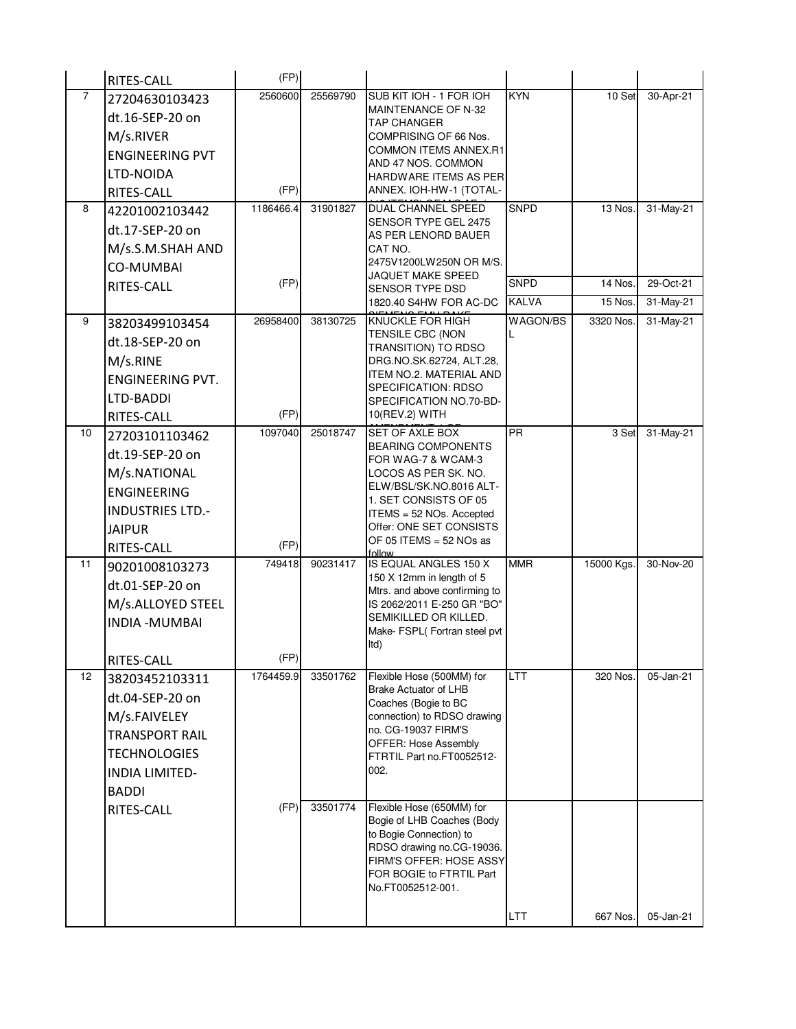|                | RITES-CALL              | (FP)      |          |                                                            |              |            |           |
|----------------|-------------------------|-----------|----------|------------------------------------------------------------|--------------|------------|-----------|
| $\overline{7}$ | 27204630103423          | 2560600   | 25569790 | SUB KIT IOH - 1 FOR IOH                                    | <b>KYN</b>   | 10 Set     | 30-Apr-21 |
|                | dt.16-SEP-20 on         |           |          | MAINTENANCE OF N-32<br><b>TAP CHANGER</b>                  |              |            |           |
|                | M/s.RIVER               |           |          | COMPRISING OF 66 Nos.                                      |              |            |           |
|                | <b>ENGINEERING PVT</b>  |           |          | <b>COMMON ITEMS ANNEX.R1</b>                               |              |            |           |
|                | LTD-NOIDA               |           |          | AND 47 NOS. COMMON<br>HARDWARE ITEMS AS PER                |              |            |           |
|                | <b>RITES-CALL</b>       | (FP)      |          | ANNEX. IOH-HW-1 (TOTAL-                                    |              |            |           |
| 8              | 42201002103442          | 1186466.4 | 31901827 | <b>DUAL CHANNEL SPEED</b>                                  | <b>SNPD</b>  | 13 Nos.    | 31-May-21 |
|                | dt.17-SEP-20 on         |           |          | SENSOR TYPE GEL 2475<br>AS PER LENORD BAUER                |              |            |           |
|                | M/s.S.M.SHAH AND        |           |          | CAT NO.                                                    |              |            |           |
|                | <b>CO-MUMBAI</b>        |           |          | 2475V1200LW250N OR M/S.                                    |              |            |           |
|                | RITES-CALL              | (FP)      |          | JAQUET MAKE SPEED<br>SENSOR TYPE DSD                       | <b>SNPD</b>  | 14 Nos.    | 29-Oct-21 |
|                |                         |           |          | 1820.40 S4HW FOR AC-DC                                     | <b>KALVA</b> | 15 Nos.    | 31-May-21 |
| 9              | 38203499103454          | 26958400  | 38130725 | <b>KNUCKLE FOR HIGH</b>                                    | WAGON/BS     | 3320 Nos.  | 31-May-21 |
|                | dt.18-SEP-20 on         |           |          | TENSILE CBC (NON<br>TRANSITION) TO RDSO                    | L            |            |           |
|                | M/s.RINE                |           |          | DRG.NO.SK.62724, ALT.28,                                   |              |            |           |
|                | <b>ENGINEERING PVT.</b> |           |          | ITEM NO.2. MATERIAL AND                                    |              |            |           |
|                | LTD-BADDI               |           |          | SPECIFICATION: RDSO<br>SPECIFICATION NO.70-BD-             |              |            |           |
|                | RITES-CALL              | (FP)      |          | 10(REV.2) WITH                                             |              |            |           |
| 10             | 27203101103462          | 1097040   | 25018747 | SET OF AXLE BOX                                            | PR           | 3 Set      | 31-May-21 |
|                | dt.19-SEP-20 on         |           |          | <b>BEARING COMPONENTS</b><br>FOR WAG-7 & WCAM-3            |              |            |           |
|                | M/s.NATIONAL            |           |          | LOCOS AS PER SK. NO.                                       |              |            |           |
|                | <b>ENGINEERING</b>      |           |          | ELW/BSL/SK.NO.8016 ALT-                                    |              |            |           |
|                | <b>INDUSTRIES LTD.-</b> |           |          | 1. SET CONSISTS OF 05<br>ITEMS = 52 NOs. Accepted          |              |            |           |
|                | <b>JAIPUR</b>           |           |          | Offer: ONE SET CONSISTS                                    |              |            |           |
|                | RITES-CALL              | (FP)      |          | OF 05 ITEMS = 52 NOs as<br>follow                          |              |            |           |
| 11             | 90201008103273          | 749418    | 90231417 | IS EQUAL ANGLES 150 X                                      | <b>MMR</b>   | 15000 Kgs. | 30-Nov-20 |
|                | dt.01-SEP-20 on         |           |          | 150 X 12mm in length of 5<br>Mtrs. and above confirming to |              |            |           |
|                | M/s.ALLOYED STEEL       |           |          | IS 2062/2011 E-250 GR "BO"                                 |              |            |           |
|                | <b>INDIA - MUMBAI</b>   |           |          | SEMIKILLED OR KILLED.                                      |              |            |           |
|                |                         |           |          | Make- FSPL(Fortran steel pvt<br>ltd)                       |              |            |           |
|                | RITES-CALL              | (FP)      |          |                                                            |              |            |           |
| 12             | 38203452103311          | 1764459.9 | 33501762 | Flexible Hose (500MM) for                                  | <b>LTT</b>   | 320 Nos.   | 05-Jan-21 |
|                | dt.04-SEP-20 on         |           |          | <b>Brake Actuator of LHB</b><br>Coaches (Bogie to BC       |              |            |           |
|                | M/s.FAIVELEY            |           |          | connection) to RDSO drawing                                |              |            |           |
|                | <b>TRANSPORT RAIL</b>   |           |          | no. CG-19037 FIRM'S                                        |              |            |           |
|                | <b>TECHNOLOGIES</b>     |           |          | OFFER: Hose Assembly<br>FTRTIL Part no.FT0052512-          |              |            |           |
|                | <b>INDIA LIMITED-</b>   |           |          | 002.                                                       |              |            |           |
|                | <b>BADDI</b>            |           |          |                                                            |              |            |           |
|                | RITES-CALL              | (FP)      | 33501774 | Flexible Hose (650MM) for                                  |              |            |           |
|                |                         |           |          | Bogie of LHB Coaches (Body<br>to Bogie Connection) to      |              |            |           |
|                |                         |           |          | RDSO drawing no.CG-19036.                                  |              |            |           |
|                |                         |           |          | FIRM'S OFFER: HOSE ASSY<br>FOR BOGIE to FTRTIL Part        |              |            |           |
|                |                         |           |          | No.FT0052512-001.                                          |              |            |           |
|                |                         |           |          |                                                            |              |            |           |
|                |                         |           |          |                                                            | <b>LTT</b>   | 667 Nos.   | 05-Jan-21 |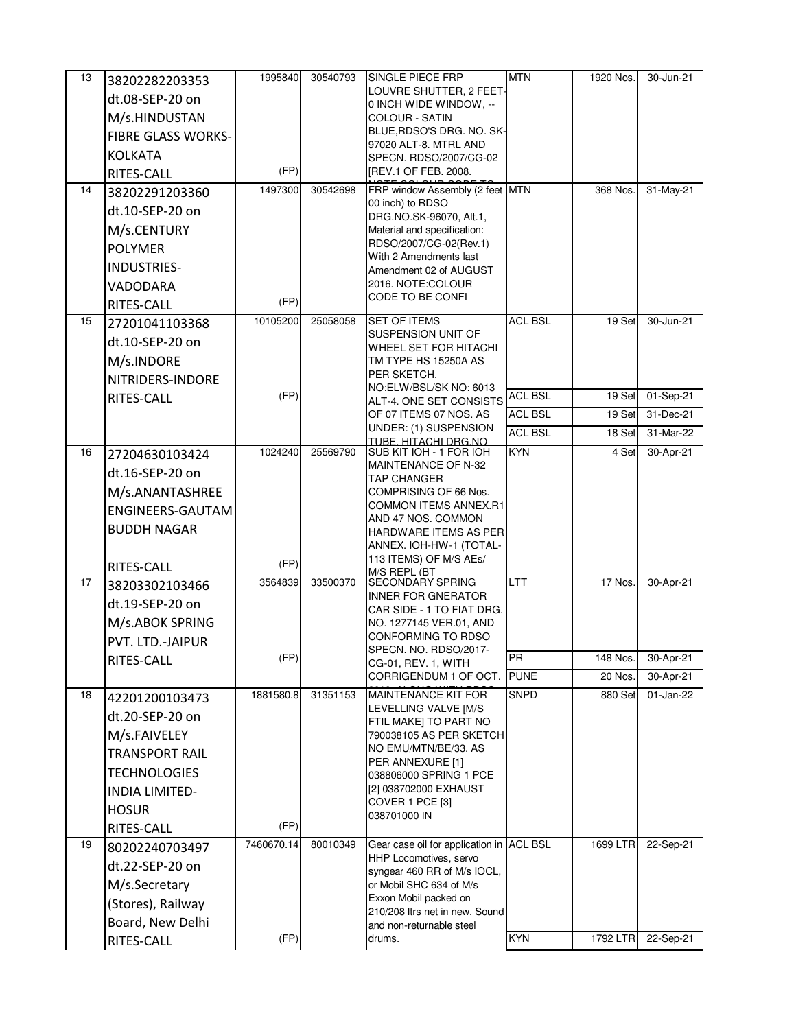| 13 | 38202282203353            | 1995840            | 30540793 | SINGLE PIECE FRP                                        | <b>MTN</b>     | 1920 Nos. | 30-Jun-21 |
|----|---------------------------|--------------------|----------|---------------------------------------------------------|----------------|-----------|-----------|
|    | dt.08-SEP-20 on           |                    |          | LOUVRE SHUTTER, 2 FEET-                                 |                |           |           |
|    | M/s.HINDUSTAN             |                    |          | 0 INCH WIDE WINDOW, --<br><b>COLOUR - SATIN</b>         |                |           |           |
|    | <b>FIBRE GLASS WORKS-</b> |                    |          | BLUE, RDSO'S DRG. NO. SK-                               |                |           |           |
|    | <b>KOLKATA</b>            |                    |          | 97020 ALT-8. MTRL AND                                   |                |           |           |
|    | RITES-CALL                | (FP)               |          | SPECN. RDSO/2007/CG-02<br>[REV.1 OF FEB. 2008.          |                |           |           |
| 14 | 38202291203360            | 1497300            | 30542698 | FRP window Assembly (2 feet MTN                         |                | 368 Nos.  | 31-May-21 |
|    | dt.10-SEP-20 on           |                    |          | 00 inch) to RDSO                                        |                |           |           |
|    | M/s.CENTURY               |                    |          | DRG.NO.SK-96070, Alt.1,<br>Material and specification:  |                |           |           |
|    | <b>POLYMER</b>            |                    |          | RDSO/2007/CG-02(Rev.1)                                  |                |           |           |
|    |                           |                    |          | With 2 Amendments last                                  |                |           |           |
|    | INDUSTRIES-               |                    |          | Amendment 02 of AUGUST<br>2016. NOTE:COLOUR             |                |           |           |
|    | VADODARA                  | (FP)               |          | CODE TO BE CONFI                                        |                |           |           |
| 15 | RITES-CALL                | 10105200           | 25058058 | <b>SET OF ITEMS</b>                                     | <b>ACL BSL</b> | 19 Set    | 30-Jun-21 |
|    | 27201041103368            |                    |          | SUSPENSION UNIT OF                                      |                |           |           |
|    | dt.10-SEP-20 on           |                    |          | WHEEL SET FOR HITACHI                                   |                |           |           |
|    | M/s.INDORE                |                    |          | TM TYPE HS 15250A AS<br>PER SKETCH.                     |                |           |           |
|    | NITRIDERS-INDORE          |                    |          | NO:ELW/BSL/SK NO: 6013                                  |                |           |           |
|    | RITES-CALL                | (FP)               |          | ALT-4. ONE SET CONSISTS                                 | <b>ACL BSL</b> | 19 Set    | 01-Sep-21 |
|    |                           |                    |          | OF 07 ITEMS 07 NOS. AS<br>UNDER: (1) SUSPENSION         | <b>ACL BSL</b> | 19 Set    | 31-Dec-21 |
|    |                           |                    |          | TURE, HITACHLDRG, NO.                                   | <b>ACL BSL</b> | 18 Set    | 31-Mar-22 |
| 16 | 27204630103424            | 1024240            | 25569790 | SUB KIT IOH - 1 FOR IOH<br>MAINTENANCE OF N-32          | <b>KYN</b>     | 4 Set     | 30-Apr-21 |
|    | dt.16-SEP-20 on           |                    |          | <b>TAP CHANGER</b>                                      |                |           |           |
|    | M/s.ANANTASHREE           |                    |          | COMPRISING OF 66 Nos.                                   |                |           |           |
|    | ENGINEERS-GAUTAM          |                    |          | <b>COMMON ITEMS ANNEX.R1</b><br>AND 47 NOS. COMMON      |                |           |           |
|    | <b>BUDDH NAGAR</b>        |                    |          | HARDWARE ITEMS AS PER                                   |                |           |           |
|    |                           |                    |          | ANNEX. IOH-HW-1 (TOTAL-                                 |                |           |           |
|    | RITES-CALL                | (FP)               |          | 113 ITEMS) OF M/S AEs/<br>M/S RFPI (RT                  |                |           |           |
| 17 | 38203302103466            | 3564839            | 33500370 | <b>SECONDARY SPRING</b>                                 | <b>LTT</b>     | 17 Nos.   | 30-Apr-21 |
|    | dt.19-SEP-20 on           |                    |          | <b>INNER FOR GNERATOR</b>                               |                |           |           |
|    | M/s.ABOK SPRING           |                    |          | CAR SIDE - 1 TO FIAT DRG.<br>NO. 1277145 VER.01, AND    |                |           |           |
|    | PVT. LTD.-JAIPUR          |                    |          | CONFORMING TO RDSO                                      |                |           |           |
|    | RITES-CALL                | (FP)               |          | SPECN, NO. RDSO/2017-                                   | PR             | 148 Nos.  | 30-Apr-21 |
|    |                           |                    |          | CG-01, REV. 1, WITH<br>CORRIGENDUM 1 OF OCT.            | <b>PUNE</b>    | 20 Nos.   | 30-Apr-21 |
| 18 | 42201200103473            | 1881580.8          | 31351153 | MAINTENANCE KIT FOR                                     | <b>SNPD</b>    | 880 Set   | 01-Jan-22 |
|    | dt.20-SEP-20 on           |                    |          | LEVELLING VALVE [M/S]                                   |                |           |           |
|    | M/s.FAIVELEY              |                    |          | FTIL MAKE] TO PART NO<br>790038105 AS PER SKETCH        |                |           |           |
|    | <b>TRANSPORT RAIL</b>     |                    |          | NO EMU/MTN/BE/33. AS                                    |                |           |           |
|    |                           |                    |          | PER ANNEXURE [1]                                        |                |           |           |
|    | <b>TECHNOLOGIES</b>       |                    |          | 038806000 SPRING 1 PCE<br>[2] 038702000 EXHAUST         |                |           |           |
|    | <b>INDIA LIMITED-</b>     |                    |          | COVER 1 PCE [3]                                         |                |           |           |
|    | <b>HOSUR</b>              |                    |          | 038701000 IN                                            |                |           |           |
| 19 | RITES-CALL                | (FP)<br>7460670.14 | 80010349 | Gear case oil for application in ACL BSL                |                | 1699 LTR  | 22-Sep-21 |
|    | 80202240703497            |                    |          | HHP Locomotives, servo                                  |                |           |           |
|    | dt.22-SEP-20 on           |                    |          | syngear 460 RR of M/s IOCL,                             |                |           |           |
|    | M/s.Secretary             |                    |          | or Mobil SHC 634 of M/s                                 |                |           |           |
|    | (Stores), Railway         |                    |          | Exxon Mobil packed on<br>210/208 Itrs net in new. Sound |                |           |           |
|    | Board, New Delhi          |                    |          | and non-returnable steel                                |                |           |           |
|    | RITES-CALL                | (FP)               |          | drums.                                                  | <b>KYN</b>     | 1792 LTR  | 22-Sep-21 |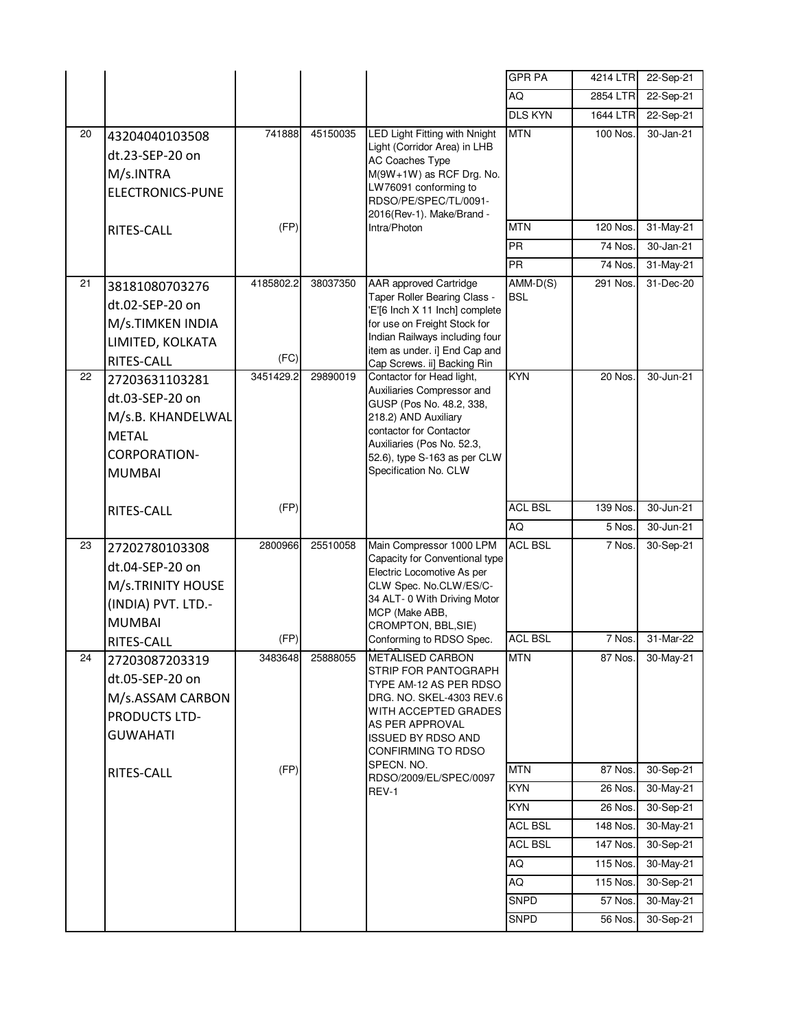|    |                              |           |          |                                                                | <b>GPR PA</b>  | 4214 LTR | 22-Sep-21 |
|----|------------------------------|-----------|----------|----------------------------------------------------------------|----------------|----------|-----------|
|    |                              |           |          |                                                                | AQ             | 2854 LTR | 22-Sep-21 |
|    |                              |           |          |                                                                | <b>DLS KYN</b> | 1644 LTR | 22-Sep-21 |
| 20 | 43204040103508               | 741888    | 45150035 | LED Light Fitting with Nnight                                  | <b>MTN</b>     | 100 Nos. | 30-Jan-21 |
|    | dt.23-SEP-20 on              |           |          | Light (Corridor Area) in LHB<br><b>AC Coaches Type</b>         |                |          |           |
|    | M/s.INTRA                    |           |          | M(9W+1W) as RCF Drg. No.                                       |                |          |           |
|    | <b>ELECTRONICS-PUNE</b>      |           |          | LW76091 conforming to                                          |                |          |           |
|    |                              |           |          | RDSO/PE/SPEC/TL/0091-<br>2016(Rev-1). Make/Brand -             |                |          |           |
|    | RITES-CALL                   | (FP)      |          | Intra/Photon                                                   | <b>MTN</b>     | 120 Nos. | 31-May-21 |
|    |                              |           |          |                                                                | <b>PR</b>      | 74 Nos.  | 30-Jan-21 |
|    |                              |           |          |                                                                | <b>PR</b>      | 74 Nos.  | 31-May-21 |
| 21 | 38181080703276               | 4185802.2 | 38037350 | AAR approved Cartridge                                         | $AMM-D(S)$     | 291 Nos. | 31-Dec-20 |
|    | dt.02-SEP-20 on              |           |          | Taper Roller Bearing Class -<br>'E'[6 Inch X 11 Inch] complete | <b>BSL</b>     |          |           |
|    | M/s.TIMKEN INDIA             |           |          | for use on Freight Stock for                                   |                |          |           |
|    | LIMITED, KOLKATA             |           |          | Indian Railways including four                                 |                |          |           |
|    | RITES-CALL                   | (FC)      |          | item as under. i] End Cap and<br>Cap Screws. ii] Backing Rin   |                |          |           |
| 22 | 27203631103281               | 3451429.2 | 29890019 | Contactor for Head light,                                      | KYN            | 20 Nos.  | 30-Jun-21 |
|    | dt.03-SEP-20 on              |           |          | Auxiliaries Compressor and                                     |                |          |           |
|    | M/s.B. KHANDELWAL            |           |          | GUSP (Pos No. 48.2, 338,<br>218.2) AND Auxiliary               |                |          |           |
|    | <b>METAL</b>                 |           |          | contactor for Contactor                                        |                |          |           |
|    | <b>CORPORATION-</b>          |           |          | Auxiliaries (Pos No. 52.3,                                     |                |          |           |
|    | <b>MUMBAI</b>                |           |          | 52.6), type S-163 as per CLW<br>Specification No. CLW          |                |          |           |
|    |                              |           |          |                                                                |                |          |           |
|    | RITES-CALL                   | (FP)      |          |                                                                | <b>ACL BSL</b> | 139 Nos. | 30-Jun-21 |
|    |                              |           |          |                                                                | AQ             | 5 Nos.   | 30-Jun-21 |
| 23 | 27202780103308               | 2800966   | 25510058 | Main Compressor 1000 LPM                                       | <b>ACL BSL</b> | 7 Nos.   | 30-Sep-21 |
|    | dt.04-SEP-20 on              |           |          | Capacity for Conventional type                                 |                |          |           |
|    | M/s.TRINITY HOUSE            |           |          | Electric Locomotive As per<br>CLW Spec. No.CLW/ES/C-           |                |          |           |
|    | (INDIA) PVT. LTD.-           |           |          | 34 ALT- 0 With Driving Motor                                   |                |          |           |
|    | <b>MUMBAI</b>                |           |          | MCP (Make ABB,                                                 |                |          |           |
|    |                              | (FP)      |          | CROMPTON, BBL, SIE)<br>Conforming to RDSO Spec.                | <b>ACL BSL</b> | 7 Nos.   | 31-Mar-22 |
| 24 | RITES-CALL<br>27203087203319 | 3483648   | 25888055 | <b>METALISED CARBON</b>                                        | <b>MTN</b>     | 87 Nos.  | 30-May-21 |
|    |                              |           |          | STRIP FOR PANTOGRAPH                                           |                |          |           |
|    | dt.05-SEP-20 on              |           |          | TYPE AM-12 AS PER RDSO                                         |                |          |           |
|    | M/s.ASSAM CARBON             |           |          | DRG. NO. SKEL-4303 REV.6<br>WITH ACCEPTED GRADES               |                |          |           |
|    | PRODUCTS LTD-                |           |          | AS PER APPROVAL                                                |                |          |           |
|    | <b>GUWAHATI</b>              |           |          | <b>ISSUED BY RDSO AND</b><br>CONFIRMING TO RDSO                |                |          |           |
|    |                              | (FP)      |          | SPECN. NO.                                                     | <b>MTN</b>     | 87 Nos.  | 30-Sep-21 |
|    | RITES-CALL                   |           |          | RDSO/2009/EL/SPEC/0097                                         | <b>KYN</b>     | 26 Nos.  | 30-May-21 |
|    |                              |           |          | REV-1                                                          | <b>KYN</b>     | 26 Nos.  | 30-Sep-21 |
|    |                              |           |          |                                                                | <b>ACL BSL</b> | 148 Nos. | 30-May-21 |
|    |                              |           |          |                                                                | <b>ACL BSL</b> | 147 Nos. | 30-Sep-21 |
|    |                              |           |          |                                                                | AQ             | 115 Nos. | 30-May-21 |
|    |                              |           |          |                                                                | AQ             | 115 Nos. | 30-Sep-21 |
|    |                              |           |          |                                                                | <b>SNPD</b>    | 57 Nos.  | 30-May-21 |
|    |                              |           |          |                                                                |                |          |           |
|    |                              |           |          |                                                                | <b>SNPD</b>    | 56 Nos.  | 30-Sep-21 |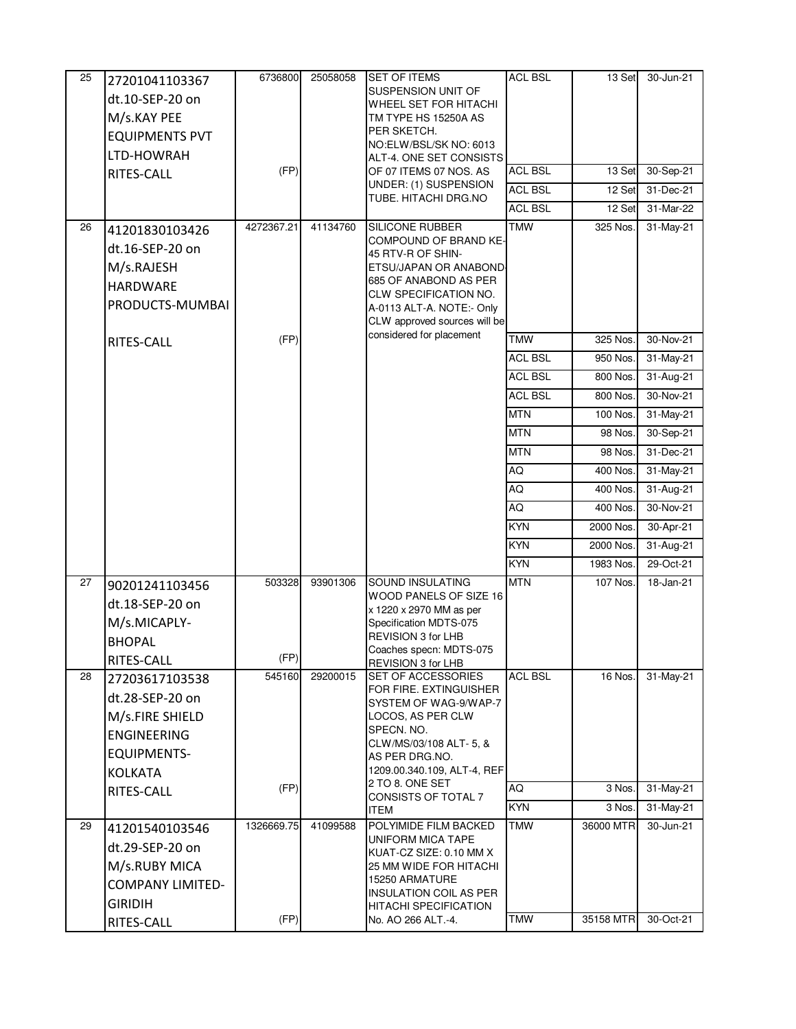| 13 Set<br>30-Jun-21                 |
|-------------------------------------|
|                                     |
|                                     |
|                                     |
|                                     |
| 13 Set<br>30-Sep-21                 |
|                                     |
| 12 Set<br>31-Dec-21                 |
| 12 Set<br>31-Mar-22                 |
| 325 Nos.<br>31-May-21               |
|                                     |
|                                     |
|                                     |
|                                     |
|                                     |
| 325 Nos.<br>30-Nov-21               |
| 950 Nos.<br>31-May-21               |
| 800 Nos.<br>31-Aug-21               |
| 800 Nos.<br>30-Nov-21               |
| 100 Nos.<br>31-May-21               |
| 98 Nos.<br>30-Sep-21                |
| 98 Nos.<br>31-Dec-21                |
|                                     |
| 400 Nos.<br>31-May-21               |
| 400 Nos.<br>$\overline{31}$ -Aug-21 |
| 30-Nov-21<br>400 Nos.               |
| 2000 Nos.<br>30-Apr-21              |
| 2000 Nos.<br>31-Aug-21              |
| 1983 Nos.<br>29-Oct-21              |
| 107 Nos.<br>18-Jan-21               |
|                                     |
|                                     |
|                                     |
|                                     |
| 16 Nos.<br>31-May-21                |
|                                     |
|                                     |
|                                     |
|                                     |
|                                     |
|                                     |
| 3 Nos.<br>31-May-21                 |
| 3 Nos.<br>31-May-21                 |
| 36000 MTR<br>30-Jun-21              |
|                                     |
|                                     |
|                                     |
|                                     |
|                                     |
|                                     |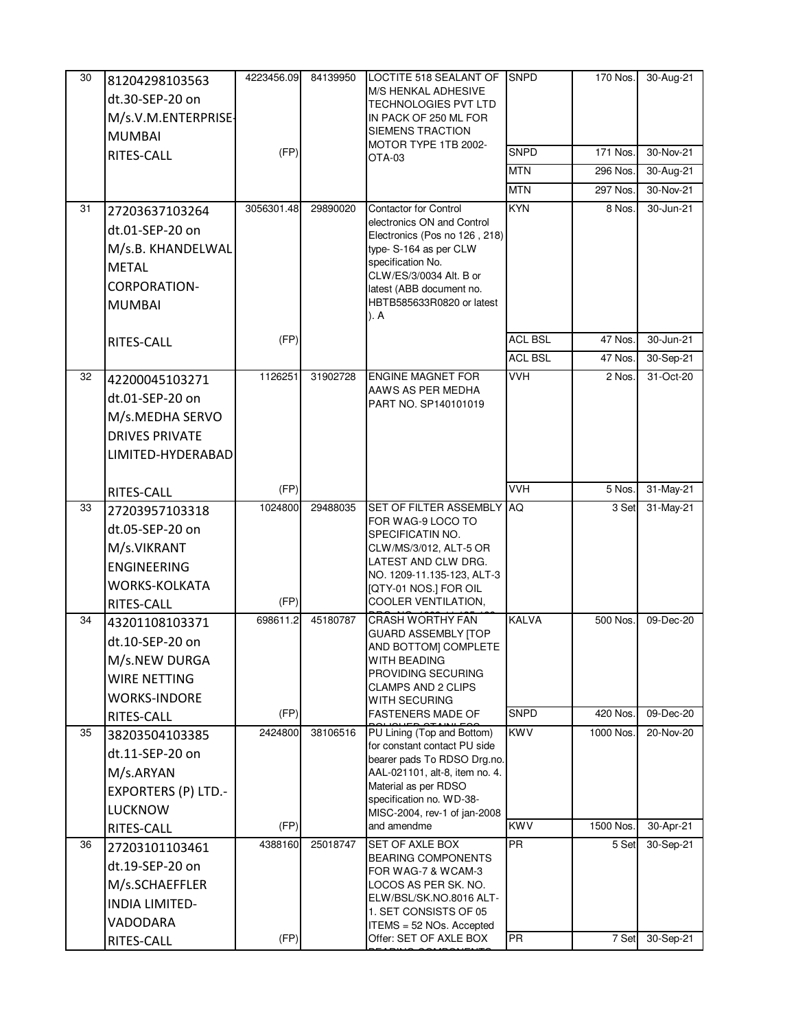| 30 | 81204298103563<br>dt.30-SEP-20 on<br>M/s.V.M.ENTERPRISE-<br><b>MUMBAI</b><br>RITES-CALL                                      | 4223456.09<br>(FP) | 84139950 | LOCTITE 518 SEALANT OF<br><b>M/S HENKAL ADHESIVE</b><br><b>TECHNOLOGIES PVT LTD</b><br>IN PACK OF 250 ML FOR<br>SIEMENS TRACTION<br>MOTOR TYPE 1TB 2002-<br>OTA-03                                                                    | <b>SNPD</b><br><b>SNPD</b><br><b>MTN</b><br><b>MTN</b> | 170 Nos.<br>171 Nos.<br>296 Nos.<br>297 Nos. | 30-Aug-21<br>30-Nov-21<br>30-Aug-21<br>30-Nov-21 |
|----|------------------------------------------------------------------------------------------------------------------------------|--------------------|----------|---------------------------------------------------------------------------------------------------------------------------------------------------------------------------------------------------------------------------------------|--------------------------------------------------------|----------------------------------------------|--------------------------------------------------|
| 31 | 27203637103264<br>dt.01-SEP-20 on<br>M/s.B. KHANDELWAL<br><b>METAL</b><br><b>CORPORATION-</b><br><b>MUMBAI</b><br>RITES-CALL | 3056301.48<br>(FP) | 29890020 | <b>Contactor for Control</b><br>electronics ON and Control<br>Electronics (Pos no 126, 218)<br>type-S-164 as per CLW<br>specification No.<br>CLW/ES/3/0034 Alt. B or<br>latest (ABB document no.<br>HBTB585633R0820 or latest<br>). A | <b>KYN</b><br><b>ACL BSL</b>                           | 8 Nos.<br>47 Nos.                            | 30-Jun-21<br>30-Jun-21                           |
|    |                                                                                                                              |                    |          |                                                                                                                                                                                                                                       | <b>ACL BSL</b>                                         | 47 Nos.                                      | 30-Sep-21                                        |
| 32 | 42200045103271<br>dt.01-SEP-20 on<br>M/s.MEDHA SERVO<br><b>DRIVES PRIVATE</b><br>LIMITED-HYDERABAD                           | 1126251            | 31902728 | <b>ENGINE MAGNET FOR</b><br>AAWS AS PER MEDHA<br>PART NO. SP140101019                                                                                                                                                                 | <b>VVH</b>                                             | 2 Nos.                                       | 31-Oct-20                                        |
|    | RITES-CALL                                                                                                                   | (FP)               |          |                                                                                                                                                                                                                                       | <b>VVH</b>                                             | 5 Nos.                                       | 31-May-21                                        |
| 33 | 27203957103318<br>dt.05-SEP-20 on<br>M/s.VIKRANT<br><b>ENGINEERING</b><br><b>WORKS-KOLKATA</b><br>RITES-CALL                 | 1024800<br>(FP)    | 29488035 | <b>SET OF FILTER ASSEMBLY</b><br>FOR WAG-9 LOCO TO<br>SPECIFICATIN NO.<br>CLW/MS/3/012, ALT-5 OR<br>LATEST AND CLW DRG.<br>NO. 1209-11.135-123, ALT-3<br>[QTY-01 NOS.] FOR OIL<br>COOLER VENTILATION,                                 | AQ.                                                    | 3 Set                                        | 31-May-21                                        |
| 34 | 43201108103371<br>dt.10-SEP-20 on<br>M/s.NEW DURGA<br><b>WIRE NETTING</b><br><b>WORKS-INDORE</b><br>RITES-CALL               | 698611.2<br>(FP)   | 45180787 | <b>CRASH WORTHY FAN</b><br><b>GUARD ASSEMBLY [TOP</b><br>AND BOTTOM] COMPLETE<br><b>WITH BEADING</b><br>PROVIDING SECURING<br><b>CLAMPS AND 2 CLIPS</b><br>WITH SECURING<br><b>FASTENERS MADE OF</b>                                  | <b>KALVA</b><br><b>SNPD</b>                            | 500 Nos.<br>420 Nos.                         | 09-Dec-20<br>09-Dec-20                           |
| 35 | 38203504103385<br>dt.11-SEP-20 on<br>M/s.ARYAN<br><b>EXPORTERS (P) LTD.-</b><br><b>LUCKNOW</b><br>RITES-CALL                 | 2424800<br>(FP)    | 38106516 | PU Lining (Top and Bottom)<br>for constant contact PU side<br>bearer pads To RDSO Drg.no.<br>AAL-021101, alt-8, item no. 4.<br>Material as per RDSO<br>specification no. WD-38-<br>MISC-2004, rev-1 of jan-2008<br>and amendme        | <b>KWV</b><br><b>KWV</b>                               | 1000 Nos.<br>1500 Nos.                       | 20-Nov-20<br>30-Apr-21                           |
| 36 | 27203101103461<br>dt.19-SEP-20 on<br>M/s.SCHAEFFLER<br><b>INDIA LIMITED-</b><br>VADODARA<br>RITES-CALL                       | 4388160<br>(FP)    | 25018747 | <b>SET OF AXLE BOX</b><br><b>BEARING COMPONENTS</b><br>FOR WAG-7 & WCAM-3<br>LOCOS AS PER SK. NO.<br>ELW/BSL/SK.NO.8016 ALT-<br>1. SET CONSISTS OF 05<br>ITEMS = 52 NOs. Accepted<br>Offer: SET OF AXLE BOX                           | <b>PR</b><br><b>PR</b>                                 | 5 Set<br>7 Set                               | 30-Sep-21<br>30-Sep-21                           |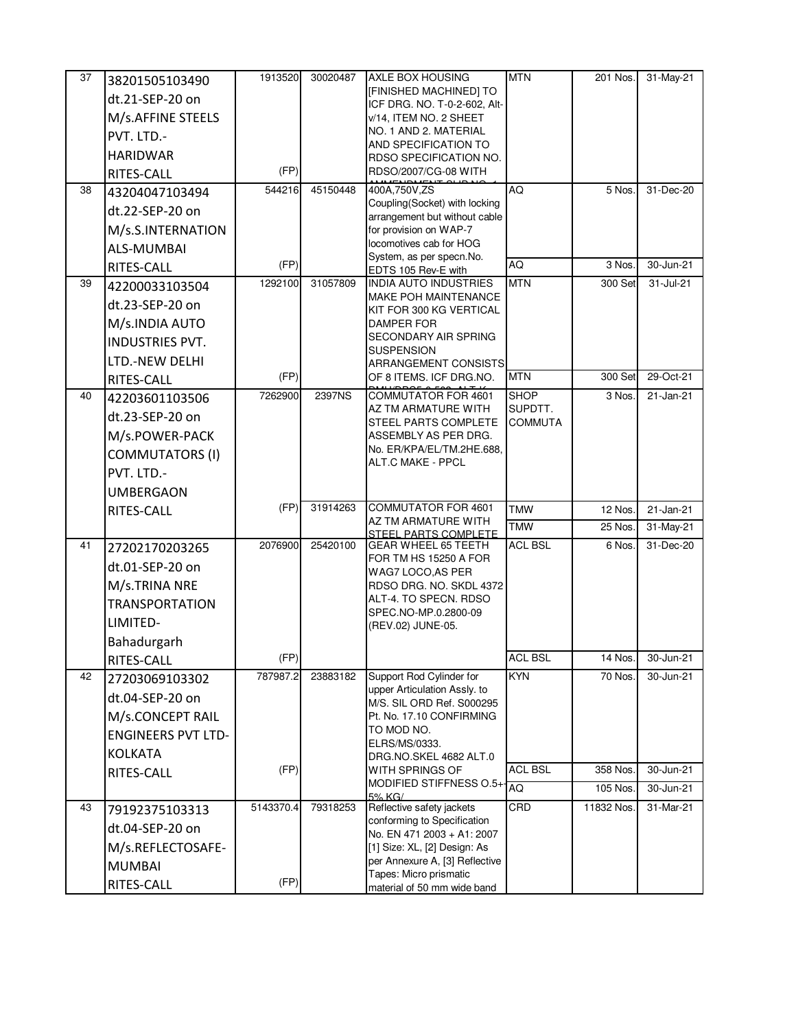| 37 | 38201505103490            | 1913520   | 30020487 | AXLE BOX HOUSING                                               | <b>MTN</b>     | 201 Nos.   | 31-May-21 |
|----|---------------------------|-----------|----------|----------------------------------------------------------------|----------------|------------|-----------|
|    | dt.21-SEP-20 on           |           |          | [FINISHED MACHINED] TO<br>ICF DRG. NO. T-0-2-602, Alt-         |                |            |           |
|    | M/s.AFFINE STEELS         |           |          | v/14, ITEM NO. 2 SHEET                                         |                |            |           |
|    | PVT. LTD.-                |           |          | NO. 1 AND 2. MATERIAL                                          |                |            |           |
|    | <b>HARIDWAR</b>           |           |          | AND SPECIFICATION TO<br><b>RDSO SPECIFICATION NO.</b>          |                |            |           |
|    | RITES-CALL                | (FP)      |          | RDSO/2007/CG-08 WITH                                           |                |            |           |
| 38 | 43204047103494            | 544216    | 45150448 | 400A,750V,ZS                                                   | AQ             | 5 Nos.     | 31-Dec-20 |
|    | dt.22-SEP-20 on           |           |          | Coupling(Socket) with locking<br>arrangement but without cable |                |            |           |
|    | M/s.S.INTERNATION         |           |          | for provision on WAP-7                                         |                |            |           |
|    | <b>ALS-MUMBAI</b>         |           |          | locomotives cab for HOG                                        |                |            |           |
|    | RITES-CALL                | (FP)      |          | System, as per specn.No.<br>EDTS 105 Rev-E with                | AQ             | 3 Nos.     | 30-Jun-21 |
| 39 | 42200033103504            | 1292100   | 31057809 | <b>INDIA AUTO INDUSTRIES</b>                                   | <b>MTN</b>     | 300 Set    | 31-Jul-21 |
|    | dt.23-SEP-20 on           |           |          | <b>MAKE POH MAINTENANCE</b>                                    |                |            |           |
|    | M/s.INDIA AUTO            |           |          | KIT FOR 300 KG VERTICAL<br><b>DAMPER FOR</b>                   |                |            |           |
|    | INDUSTRIES PVT.           |           |          | <b>SECONDARY AIR SPRING</b>                                    |                |            |           |
|    | LTD.-NEW DELHI            |           |          | <b>SUSPENSION</b><br><b>ARRANGEMENT CONSISTS</b>               |                |            |           |
|    | RITES-CALL                | (FP)      |          | OF 8 ITEMS. ICF DRG.NO.                                        | <b>MTN</b>     | 300 Set    | 29-Oct-21 |
| 40 | 42203601103506            | 7262900   | 2397NS   | COMMUTATOR FOR 4601                                            | <b>SHOP</b>    | 3 Nos.     | 21-Jan-21 |
|    | dt.23-SEP-20 on           |           |          | AZ TM ARMATURE WITH                                            | SUPDTT.        |            |           |
|    | M/s.POWER-PACK            |           |          | <b>STEEL PARTS COMPLETE</b><br>ASSEMBLY AS PER DRG.            | <b>COMMUTA</b> |            |           |
|    | <b>COMMUTATORS (I)</b>    |           |          | No. ER/KPA/EL/TM.2HE.688,                                      |                |            |           |
|    | PVT. LTD.-                |           |          | ALT.C MAKE - PPCL                                              |                |            |           |
|    |                           |           |          |                                                                |                |            |           |
|    | <b>UMBERGAON</b>          | (FP)      | 31914263 | <b>COMMUTATOR FOR 4601</b>                                     | <b>TMW</b>     | 12 Nos.    | 21-Jan-21 |
|    | RITES-CALL                |           |          | AZ TM ARMATURE WITH                                            | <b>TMW</b>     | 25 Nos.    | 31-May-21 |
| 41 |                           | 2076900   | 25420100 | STEEL PARTS COMPLETE<br><b>GEAR WHEEL 65 TEETH</b>             | <b>ACL BSL</b> | 6 Nos.     | 31-Dec-20 |
|    | 27202170203265            |           |          | FOR TM HS 15250 A FOR                                          |                |            |           |
|    | dt.01-SEP-20 on           |           |          | WAG7 LOCO, AS PER                                              |                |            |           |
|    | M/s.TRINA NRE             |           |          | RDSO DRG. NO. SKDL 4372<br>ALT-4. TO SPECN. RDSO               |                |            |           |
|    | <b>TRANSPORTATION</b>     |           |          | SPEC.NO-MP.0.2800-09                                           |                |            |           |
|    | LIMITED-                  |           |          | (REV.02) JUNE-05.                                              |                |            |           |
|    | Bahadurgarh               |           |          |                                                                | <b>ACL BSL</b> |            |           |
|    | RITES-CALL                | (FP)      |          |                                                                |                | 14 Nos.    | 30-Jun-21 |
| 42 | 27203069103302            | 787987.2  | 23883182 | Support Rod Cylinder for<br>upper Articulation Assly. to       | <b>KYN</b>     | 70 Nos.    | 30-Jun-21 |
|    | dt.04-SEP-20 on           |           |          | M/S. SIL ORD Ref. S000295                                      |                |            |           |
|    | M/s.CONCEPT RAIL          |           |          | Pt. No. 17.10 CONFIRMING<br>TO MOD NO.                         |                |            |           |
|    | <b>ENGINEERS PVT LTD-</b> |           |          | ELRS/MS/0333.                                                  |                |            |           |
|    | <b>KOLKATA</b>            |           |          | DRG.NO.SKEL 4682 ALT.0                                         |                |            |           |
|    | RITES-CALL                | (FP)      |          | WITH SPRINGS OF<br>MODIFIED STIFFNESS O.5+ $\frac{1}{AQ}$      | <b>ACL BSL</b> | 358 Nos.   | 30-Jun-21 |
|    |                           |           |          | 5% KG/                                                         |                | 105 Nos.   | 30-Jun-21 |
| 43 | 79192375103313            | 5143370.4 | 79318253 | Reflective safety jackets<br>conforming to Specification       | CRD            | 11832 Nos. | 31-Mar-21 |
|    | dt.04-SEP-20 on           |           |          | No. EN 471 2003 + A1: 2007                                     |                |            |           |
|    | M/s.REFLECTOSAFE-         |           |          | [1] Size: XL, [2] Design: As                                   |                |            |           |
|    | <b>MUMBAI</b>             |           |          | per Annexure A, [3] Reflective<br>Tapes: Micro prismatic       |                |            |           |
|    | RITES-CALL                | (FP)      |          | material of 50 mm wide band                                    |                |            |           |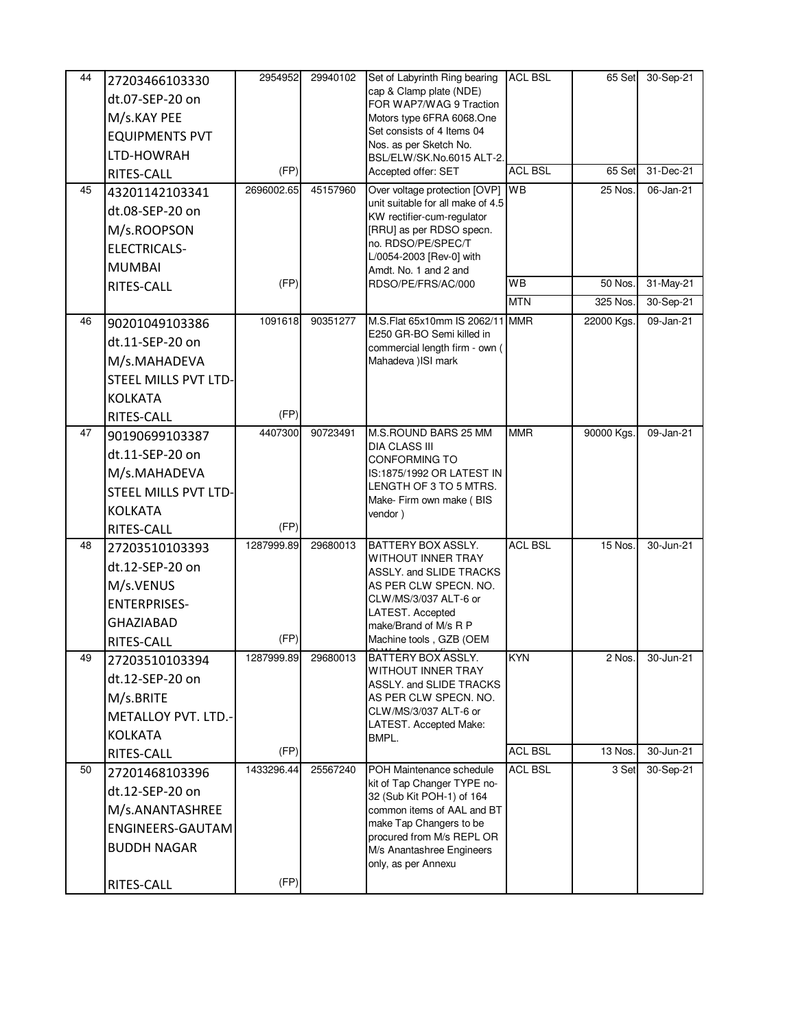| 44 | 27203466103330              | 2954952    | 29940102 | Set of Labyrinth Ring bearing                            | <b>ACL BSL</b> | 65 Set     | 30-Sep-21     |
|----|-----------------------------|------------|----------|----------------------------------------------------------|----------------|------------|---------------|
|    | dt.07-SEP-20 on             |            |          | cap & Clamp plate (NDE)                                  |                |            |               |
|    | M/s.KAY PEE                 |            |          | FOR WAP7/WAG 9 Traction<br>Motors type 6FRA 6068.One     |                |            |               |
|    | <b>EQUIPMENTS PVT</b>       |            |          | Set consists of 4 Items 04                               |                |            |               |
|    | LTD-HOWRAH                  |            |          | Nos. as per Sketch No.<br>BSL/ELW/SK.No.6015 ALT-2.      |                |            |               |
|    | RITES-CALL                  | (FP)       |          | Accepted offer: SET                                      | <b>ACL BSL</b> | 65 Set     | 31-Dec-21     |
| 45 | 43201142103341              | 2696002.65 | 45157960 | Over voltage protection [OVP] WB                         |                | 25 Nos.    | 06-Jan-21     |
|    | dt.08-SEP-20 on             |            |          | unit suitable for all make of 4.5                        |                |            |               |
|    | M/s.ROOPSON                 |            |          | KW rectifier-cum-regulator<br>[RRU] as per RDSO specn.   |                |            |               |
|    | <b>ELECTRICALS-</b>         |            |          | no. RDSO/PE/SPEC/T                                       |                |            |               |
|    | <b>MUMBAI</b>               |            |          | L/0054-2003 [Rev-0] with                                 |                |            |               |
|    | RITES-CALL                  | (FP)       |          | Amdt. No. 1 and 2 and<br>RDSO/PE/FRS/AC/000              | WB             | 50 Nos.    | 31-May-21     |
|    |                             |            |          |                                                          | <b>MTN</b>     | 325 Nos.   | $30 - Sep-21$ |
| 46 | 90201049103386              | 1091618    | 90351277 | M.S.Flat 65x10mm IS 2062/11 MMR                          |                | 22000 Kgs. | 09-Jan-21     |
|    | dt.11-SEP-20 on             |            |          | E250 GR-BO Semi killed in                                |                |            |               |
|    |                             |            |          | commercial length firm - own (                           |                |            |               |
|    | M/s.MAHADEVA                |            |          | Mahadeva ) ISI mark                                      |                |            |               |
|    | STEEL MILLS PVT LTD-        |            |          |                                                          |                |            |               |
|    | <b>KOLKATA</b>              | (FP)       |          |                                                          |                |            |               |
| 47 | RITES-CALL                  | 4407300    | 90723491 | M.S.ROUND BARS 25 MM                                     | <b>MMR</b>     | 90000 Kgs. | 09-Jan-21     |
|    | 90190699103387              |            |          | <b>DIA CLASS III</b>                                     |                |            |               |
|    | dt.11-SEP-20 on             |            |          | <b>CONFORMING TO</b>                                     |                |            |               |
|    | M/s.MAHADEVA                |            |          | IS:1875/1992 OR LATEST IN<br>LENGTH OF 3 TO 5 MTRS.      |                |            |               |
|    | <b>STEEL MILLS PVT LTD-</b> |            |          | Make- Firm own make (BIS                                 |                |            |               |
|    | <b>KOLKATA</b>              |            |          | vendor)                                                  |                |            |               |
|    | RITES-CALL                  | (FP)       |          |                                                          |                |            |               |
| 48 | 27203510103393              | 1287999.89 | 29680013 | <b>BATTERY BOX ASSLY.</b><br><b>WITHOUT INNER TRAY</b>   | <b>ACL BSL</b> | 15 Nos.    | 30-Jun-21     |
|    | dt.12-SEP-20 on             |            |          | ASSLY. and SLIDE TRACKS                                  |                |            |               |
|    | M/s.VENUS                   |            |          | AS PER CLW SPECN. NO.                                    |                |            |               |
|    | <b>ENTERPRISES-</b>         |            |          | CLW/MS/3/037 ALT-6 or<br>LATEST. Accepted                |                |            |               |
|    | <b>GHAZIABAD</b>            |            |          | make/Brand of M/s R P                                    |                |            |               |
|    | RITES-CALL                  | (FP)       |          | Machine tools, GZB (OEM                                  |                |            |               |
| 49 | 27203510103394              | 1287999.89 | 29680013 | <b>BATTERY BOX ASSLY.</b><br><b>WITHOUT INNER TRAY</b>   | <b>KYN</b>     | 2 Nos.     | 30-Jun-21     |
|    | dt.12-SEP-20 on             |            |          | ASSLY. and SLIDE TRACKS                                  |                |            |               |
|    | M/s.BRITE                   |            |          | AS PER CLW SPECN, NO.                                    |                |            |               |
|    | METALLOY PVT. LTD.-         |            |          | CLW/MS/3/037 ALT-6 or<br>LATEST. Accepted Make:          |                |            |               |
|    | <b>KOLKATA</b>              |            |          | BMPL.                                                    |                |            |               |
|    | RITES-CALL                  | (FP)       |          |                                                          | <b>ACL BSL</b> | 13 Nos.    | 30-Jun-21     |
| 50 | 27201468103396              | 1433296.44 | 25567240 | POH Maintenance schedule                                 | <b>ACL BSL</b> | 3 Set      | 30-Sep-21     |
|    | dt.12-SEP-20 on             |            |          | kit of Tap Changer TYPE no-<br>32 (Sub Kit POH-1) of 164 |                |            |               |
|    | M/s.ANANTASHREE             |            |          | common items of AAL and BT                               |                |            |               |
|    | ENGINEERS-GAUTAM            |            |          | make Tap Changers to be                                  |                |            |               |
|    | <b>BUDDH NAGAR</b>          |            |          | procured from M/s REPL OR<br>M/s Anantashree Engineers   |                |            |               |
|    |                             |            |          | only, as per Annexu                                      |                |            |               |
|    | RITES-CALL                  | (FP)       |          |                                                          |                |            |               |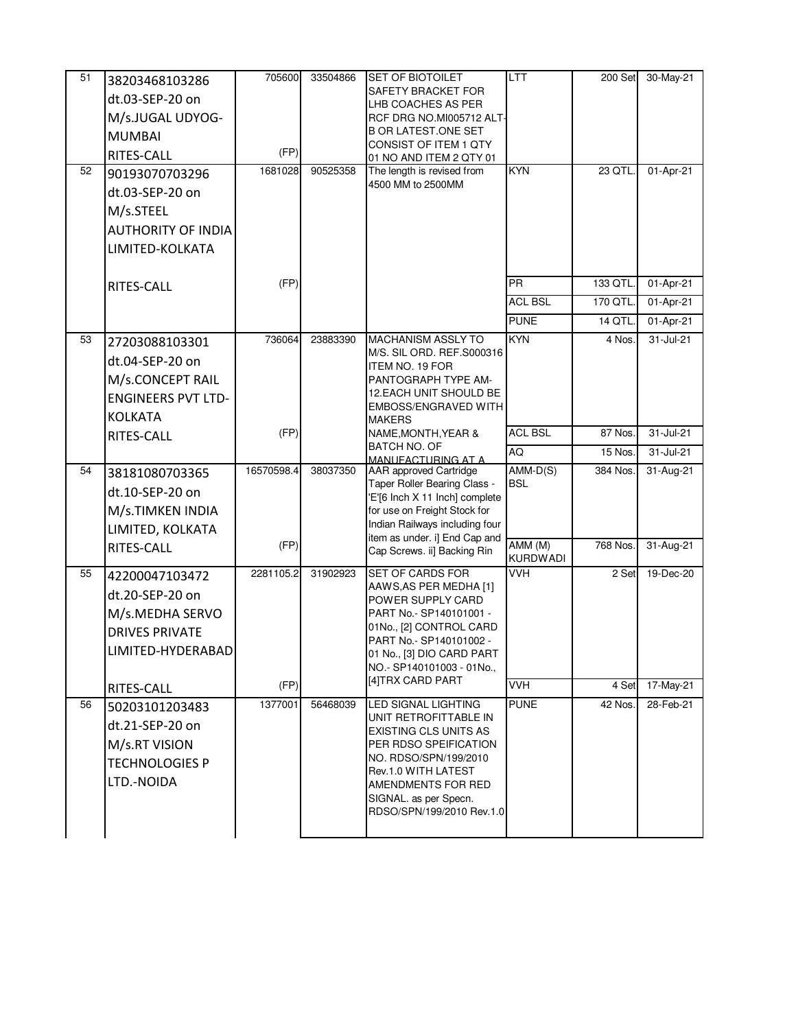| 51 | 38203468103286            | 705600     | 33504866 | <b>SET OF BIOTOILET</b>                                        | <b>LTT</b>                 | 200 Set  | 30-May-21 |
|----|---------------------------|------------|----------|----------------------------------------------------------------|----------------------------|----------|-----------|
|    | dt.03-SEP-20 on           |            |          | SAFETY BRACKET FOR                                             |                            |          |           |
|    | M/s.JUGAL UDYOG-          |            |          | LHB COACHES AS PER<br>RCF DRG NO.MI005712 ALT-                 |                            |          |           |
|    | <b>MUMBAI</b>             |            |          | <b>B OR LATEST.ONE SET</b>                                     |                            |          |           |
|    | RITES-CALL                | (FP)       |          | CONSIST OF ITEM 1 QTY                                          |                            |          |           |
| 52 |                           | 1681028    | 90525358 | 01 NO AND ITEM 2 QTY 01<br>The length is revised from          | <b>KYN</b>                 | 23 QTL.  | 01-Apr-21 |
|    | 90193070703296            |            |          | 4500 MM to 2500MM                                              |                            |          |           |
|    | dt.03-SEP-20 on           |            |          |                                                                |                            |          |           |
|    | M/s.STEEL                 |            |          |                                                                |                            |          |           |
|    | <b>AUTHORITY OF INDIA</b> |            |          |                                                                |                            |          |           |
|    | LIMITED-KOLKATA           |            |          |                                                                |                            |          |           |
|    |                           |            |          |                                                                |                            |          |           |
|    | <b>RITES-CALL</b>         | (FP)       |          |                                                                | <b>PR</b>                  | 133 QTL. | 01-Apr-21 |
|    |                           |            |          |                                                                | <b>ACL BSL</b>             | 170 QTL. | 01-Apr-21 |
|    |                           |            |          |                                                                | <b>PUNE</b>                | 14 QTL.  | 01-Apr-21 |
| 53 | 27203088103301            | 736064     | 23883390 | <b>MACHANISM ASSLY TO</b>                                      | <b>KYN</b>                 | 4 Nos.   | 31-Jul-21 |
|    | dt.04-SEP-20 on           |            |          | M/S. SIL ORD. REF.S000316<br>ITEM NO. 19 FOR                   |                            |          |           |
|    | M/s.CONCEPT RAIL          |            |          | PANTOGRAPH TYPE AM-                                            |                            |          |           |
|    | <b>ENGINEERS PVT LTD-</b> |            |          | <b>12.EACH UNIT SHOULD BE</b>                                  |                            |          |           |
|    | <b>KOLKATA</b>            |            |          | EMBOSS/ENGRAVED WITH<br><b>MAKERS</b>                          |                            |          |           |
|    | RITES-CALL                | (FP)       |          | NAME, MONTH, YEAR &                                            | <b>ACL BSL</b>             | 87 Nos.  | 31-Jul-21 |
|    |                           |            |          | BATCH NO. OF                                                   | AQ                         | 15 Nos.  | 31-Jul-21 |
| 54 | 38181080703365            | 16570598.4 | 38037350 | MANUFACTURING AT A<br><b>AAR</b> approved Cartridge            | $AMM-D(S)$                 | 384 Nos. | 31-Aug-21 |
|    | dt.10-SEP-20 on           |            |          | Taper Roller Bearing Class -                                   | <b>BSL</b>                 |          |           |
|    |                           |            |          | 'E'[6 Inch X 11 Inch] complete                                 |                            |          |           |
|    | M/s.TIMKEN INDIA          |            |          | for use on Freight Stock for<br>Indian Railways including four |                            |          |           |
|    | LIMITED, KOLKATA          |            |          | item as under. i] End Cap and                                  |                            |          |           |
|    | RITES-CALL                | (FP)       |          | Cap Screws. ii] Backing Rin                                    | AMM (M)<br><b>KURDWADI</b> | 768 Nos. | 31-Aug-21 |
| 55 | 42200047103472            | 2281105.2  | 31902923 | <b>SET OF CARDS FOR</b>                                        | <b>VVH</b>                 | 2 Set    | 19-Dec-20 |
|    | dt.20-SEP-20 on           |            |          | AAWS, AS PER MEDHA [1]                                         |                            |          |           |
|    | M/s.MEDHA SERVO           |            |          | POWER SUPPLY CARD<br>PART No.- SP140101001 -                   |                            |          |           |
|    | <b>DRIVES PRIVATE</b>     |            |          | 01No., [2] CONTROL CARD                                        |                            |          |           |
|    | LIMITED-HYDERABAD         |            |          | PART No.- SP140101002 -                                        |                            |          |           |
|    |                           |            |          | 01 No., [3] DIO CARD PART<br>NO.- SP140101003 - 01No.,         |                            |          |           |
|    |                           | (FP)       |          | [4]TRX CARD PART                                               | <b>VVH</b>                 | 4 Set    | 17-May-21 |
| 56 | RITES-CALL                | 1377001    | 56468039 | LED SIGNAL LIGHTING                                            | <b>PUNE</b>                | 42 Nos.  | 28-Feb-21 |
|    | 50203101203483            |            |          | UNIT RETROFITTABLE IN                                          |                            |          |           |
|    | dt.21-SEP-20 on           |            |          | <b>EXISTING CLS UNITS AS</b>                                   |                            |          |           |
|    | M/s.RT VISION             |            |          | PER RDSO SPEIFICATION<br>NO. RDSO/SPN/199/2010                 |                            |          |           |
|    | <b>TECHNOLOGIES P</b>     |            |          | Rev.1.0 WITH LATEST                                            |                            |          |           |
|    | LTD.-NOIDA                |            |          | AMENDMENTS FOR RED                                             |                            |          |           |
|    |                           |            |          | SIGNAL. as per Specn.                                          |                            |          |           |
|    |                           |            |          | RDSO/SPN/199/2010 Rev.1.0                                      |                            |          |           |
|    |                           |            |          |                                                                |                            |          |           |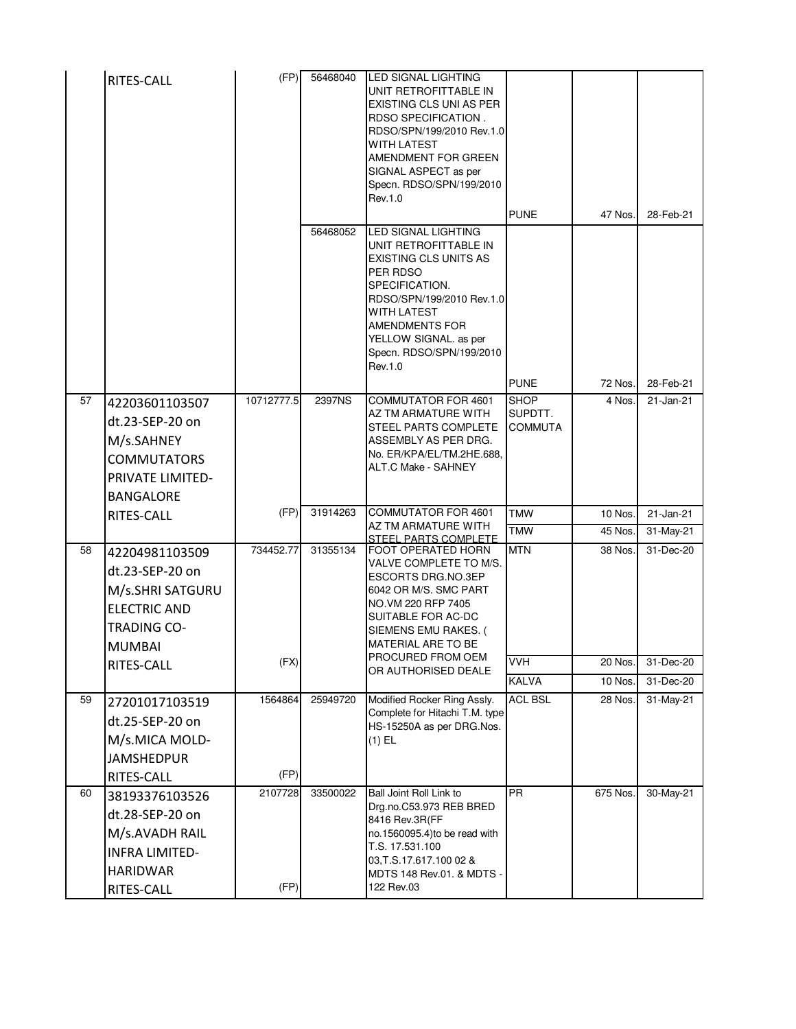|    | RITES-CALL                                                                                                          | (FP)            | 56468040<br>56468052 | LED SIGNAL LIGHTING<br>UNIT RETROFITTABLE IN<br><b>EXISTING CLS UNI AS PER</b><br>RDSO SPECIFICATION.<br>RDSO/SPN/199/2010 Rev.1.0<br><b>WITH LATEST</b><br>AMENDMENT FOR GREEN<br>SIGNAL ASPECT as per<br>Specn. RDSO/SPN/199/2010<br>Rev.1.0<br><b>LED SIGNAL LIGHTING</b> | <b>PUNE</b>                              | 47 Nos.  | 28-Feb-21               |
|----|---------------------------------------------------------------------------------------------------------------------|-----------------|----------------------|------------------------------------------------------------------------------------------------------------------------------------------------------------------------------------------------------------------------------------------------------------------------------|------------------------------------------|----------|-------------------------|
|    |                                                                                                                     |                 |                      | UNIT RETROFITTABLE IN<br><b>EXISTING CLS UNITS AS</b><br>PER RDSO<br>SPECIFICATION.<br>RDSO/SPN/199/2010 Rev.1.0<br><b>WITH LATEST</b><br><b>AMENDMENTS FOR</b><br>YELLOW SIGNAL. as per<br>Specn. RDSO/SPN/199/2010<br>Rev.1.0                                              | <b>PUNE</b>                              | 72 Nos.  | 28-Feb-21               |
| 57 | 42203601103507<br>dt.23-SEP-20 on<br>M/s.SAHNEY<br><b>COMMUTATORS</b><br>PRIVATE LIMITED-<br><b>BANGALORE</b>       | 10712777.5      | 2397NS               | <b>COMMUTATOR FOR 4601</b><br>AZ TM ARMATURE WITH<br><b>STEEL PARTS COMPLETE</b><br>ASSEMBLY AS PER DRG.<br>No. ER/KPA/EL/TM.2HE.688,<br>ALT.C Make - SAHNEY                                                                                                                 | <b>SHOP</b><br>SUPDTT.<br><b>COMMUTA</b> | 4 Nos.   | 21-Jan-21               |
|    | RITES-CALL                                                                                                          | (FP)            | 31914263             | <b>COMMUTATOR FOR 4601</b><br>AZ TM ARMATURE WITH                                                                                                                                                                                                                            | <b>TMW</b>                               | 10 Nos.  | 21-Jan-21               |
|    |                                                                                                                     |                 |                      | STEEL PARTS COMPLETE                                                                                                                                                                                                                                                         | <b>TMW</b>                               | 45 Nos.  | 31-May-21               |
| 58 | 42204981103509<br>dt.23-SEP-20 on<br>M/s.SHRI SATGURU<br><b>ELECTRIC AND</b><br><b>TRADING CO-</b><br><b>MUMBAI</b> | 734452.77       | 31355134             | FOOT OPERATED HORN<br>VALVE COMPLETE TO M/S.<br><b>ESCORTS DRG.NO.3EP</b><br>6042 OR M/S. SMC PART<br>NO.VM 220 RFP 7405<br>SUITABLE FOR AC-DC<br>SIEMENS EMU RAKES. (<br>MATERIAL ARE TO BE                                                                                 | <b>MTN</b>                               | 38 Nos.  | $\overline{31}$ -Dec-20 |
|    | RITES-CALL                                                                                                          | (FX)            |                      | PROCURED FROM OEM<br>OR AUTHORISED DEALE                                                                                                                                                                                                                                     | <b>VVH</b>                               | 20 Nos.  | 31-Dec-20               |
|    |                                                                                                                     |                 |                      |                                                                                                                                                                                                                                                                              | <b>KALVA</b>                             | 10 Nos.  | 31-Dec-20               |
| 59 | 27201017103519<br>dt.25-SEP-20 on<br>M/s.MICA MOLD-<br><b>JAMSHEDPUR</b><br>RITES-CALL                              | 1564864<br>(FP) | 25949720             | Modified Rocker Ring Assly.<br>Complete for Hitachi T.M. type<br>HS-15250A as per DRG.Nos.<br>$(1)$ EL                                                                                                                                                                       | <b>ACL BSL</b>                           | 28 Nos.  | 31-May-21               |
| 60 | 38193376103526<br>dt.28-SEP-20 on<br>M/s.AVADH RAIL<br><b>INFRA LIMITED-</b><br><b>HARIDWAR</b><br>RITES-CALL       | 2107728<br>(FP) | 33500022             | Ball Joint Roll Link to<br>Drg.no.C53.973 REB BRED<br>8416 Rev.3R(FF<br>no.1560095.4) to be read with<br>T.S. 17.531.100<br>03, T.S. 17.617.100 02 &<br>MDTS 148 Rev.01. & MDTS -<br>122 Rev.03                                                                              | <b>PR</b>                                | 675 Nos. | 30-May-21               |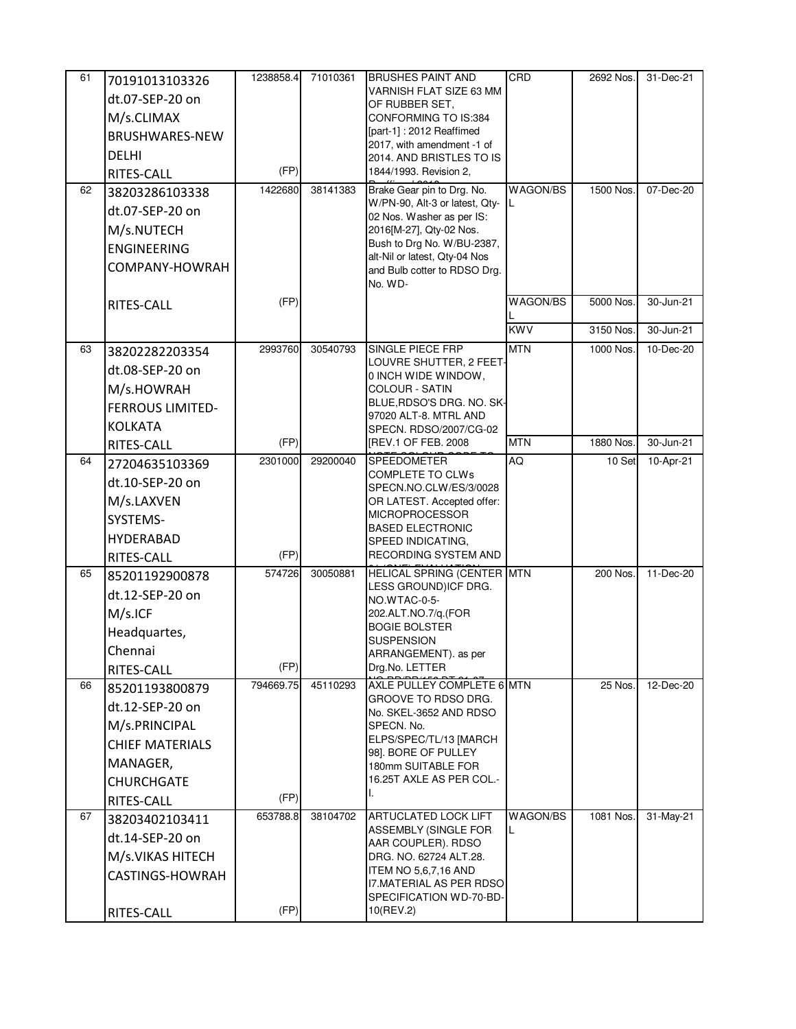| 61<br>62 | 70191013103326<br>dt.07-SEP-20 on<br>M/s.CLIMAX<br>BRUSHWARES-NEW<br><b>DELHI</b><br><b>RITES-CALL</b><br>38203286103338<br>dt.07-SEP-20 on<br>M/s.NUTECH<br><b>ENGINEERING</b><br>COMPANY-HOWRAH | 1238858.4<br>(FP)<br>1422680 | 71010361<br>38141383 | <b>BRUSHES PAINT AND</b><br>VARNISH FLAT SIZE 63 MM<br>OF RUBBER SET,<br>CONFORMING TO IS:384<br>[part-1]: 2012 Reaffimed<br>2017, with amendment -1 of<br>2014. AND BRISTLES TO IS<br>1844/1993. Revision 2,<br>Brake Gear pin to Drg. No.<br>W/PN-90, Alt-3 or latest, Qty-<br>02 Nos. Washer as per IS:<br>2016[M-27], Qty-02 Nos.<br>Bush to Drg No. W/BU-2387,<br>alt-Nil or latest, Qty-04 Nos<br>and Bulb cotter to RDSO Drg.<br>No. WD- | CRD<br>WAGON/BS<br>L | 2692 Nos.<br>1500 Nos. | 31-Dec-21<br>07-Dec-20 |
|----------|---------------------------------------------------------------------------------------------------------------------------------------------------------------------------------------------------|------------------------------|----------------------|-------------------------------------------------------------------------------------------------------------------------------------------------------------------------------------------------------------------------------------------------------------------------------------------------------------------------------------------------------------------------------------------------------------------------------------------------|----------------------|------------------------|------------------------|
|          | RITES-CALL                                                                                                                                                                                        | (FP)                         |                      |                                                                                                                                                                                                                                                                                                                                                                                                                                                 | WAGON/BS             | 5000 Nos.              | 30-Jun-21              |
|          |                                                                                                                                                                                                   |                              |                      |                                                                                                                                                                                                                                                                                                                                                                                                                                                 | <b>KWV</b>           | 3150 Nos.              | 30-Jun-21              |
| 63       | 38202282203354<br>dt.08-SEP-20 on<br>M/s.HOWRAH<br><b>FERROUS LIMITED-</b><br><b>KOLKATA</b>                                                                                                      | 2993760                      | 30540793             | SINGLE PIECE FRP<br>LOUVRE SHUTTER, 2 FEET-<br>0 INCH WIDE WINDOW,<br>COLOUR - SATIN<br>BLUE, RDSO'S DRG. NO. SK-<br>97020 ALT-8. MTRL AND<br>SPECN. RDSO/2007/CG-02                                                                                                                                                                                                                                                                            | <b>MTN</b>           | 1000 Nos.              | 10-Dec-20              |
|          | RITES-CALL                                                                                                                                                                                        | (FP)                         |                      | [REV.1 OF FEB. 2008                                                                                                                                                                                                                                                                                                                                                                                                                             | <b>MTN</b>           | 1880 Nos.              | 30-Jun-21              |
| 64       | 27204635103369<br>dt.10-SEP-20 on<br>M/s.LAXVEN<br>SYSTEMS-<br><b>HYDERABAD</b><br>RITES-CALL                                                                                                     | 2301000<br>(FP)              | 29200040             | <b>SPEEDOMETER</b><br><b>COMPLETE TO CLWs</b><br>SPECN.NO.CLW/ES/3/0028<br>OR LATEST. Accepted offer:<br><b>MICROPROCESSOR</b><br><b>BASED ELECTRONIC</b><br>SPEED INDICATING,<br>RECORDING SYSTEM AND                                                                                                                                                                                                                                          | AQ                   | 10 Set                 | 10-Apr-21              |
| 65       | 85201192900878<br>dt.12-SEP-20 on<br>M/s.ICF<br>Headquartes,<br>Chennai<br>RITES-CALL                                                                                                             | 574726<br>(FP)               | 30050881             | HELICAL SPRING (CENTER MTN<br>LESS GROUND) ICF DRG.<br>NO.WTAC-0-5-<br>202.ALT.NO.7/q.(FOR<br><b>BOGIE BOLSTER</b><br><b>SUSPENSION</b><br>ARRANGEMENT). as per<br>Drg.No. LETTER                                                                                                                                                                                                                                                               |                      | 200 Nos.               | 11-Dec-20              |
| 66       | 85201193800879<br>dt.12-SEP-20 on<br>M/s.PRINCIPAL<br><b>CHIEF MATERIALS</b><br>MANAGER,<br><b>CHURCHGATE</b><br>RITES-CALL                                                                       | 794669.75<br>(FP)            | 45110293             | AXLE PULLEY COMPLETE 6 MTN<br>GROOVE TO RDSO DRG.<br>No. SKEL-3652 AND RDSO<br>SPECN. No.<br>ELPS/SPEC/TL/13 [MARCH<br>981. BORE OF PULLEY<br>180mm SUITABLE FOR<br>16.25T AXLE AS PER COL.-                                                                                                                                                                                                                                                    |                      | 25 Nos.                | 12-Dec-20              |
| 67       | 38203402103411<br>dt.14-SEP-20 on<br>M/s.VIKAS HITECH<br>CASTINGS-HOWRAH<br>RITES-CALL                                                                                                            | 653788.8<br>(FP)             | 38104702             | <b>ARTUCLATED LOCK LIFT</b><br>ASSEMBLY (SINGLE FOR<br>AAR COUPLER). RDSO<br>DRG. NO. 62724 ALT.28.<br>ITEM NO 5,6,7,16 AND<br><b>I7.MATERIAL AS PER RDSO</b><br>SPECIFICATION WD-70-BD-<br>10(REV.2)                                                                                                                                                                                                                                           | WAGON/BS<br>L        | 1081 Nos.              | 31-May-21              |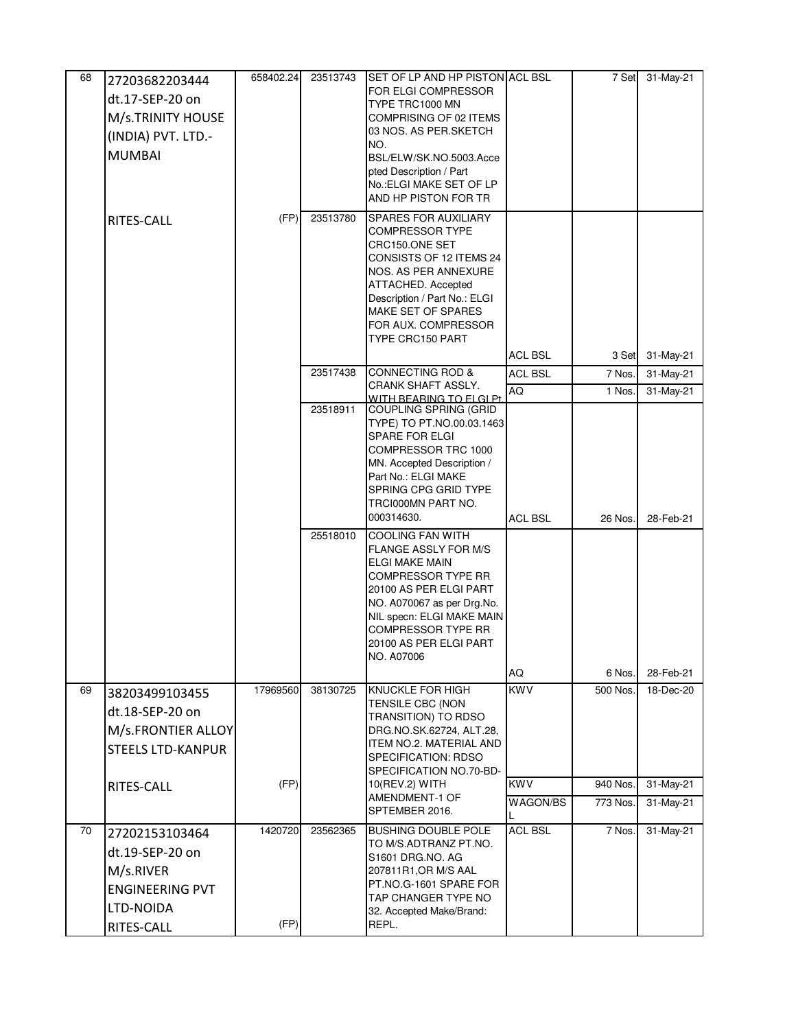| 68 | 27203682203444           | 658402.24 | 23513743 | SET OF LP AND HP PISTON ACL BSL                         |                | 7 Set    | 31-May-21 |
|----|--------------------------|-----------|----------|---------------------------------------------------------|----------------|----------|-----------|
|    | dt.17-SEP-20 on          |           |          | FOR ELGI COMPRESSOR                                     |                |          |           |
|    | M/s.TRINITY HOUSE        |           |          | TYPE TRC1000 MN<br>COMPRISING OF 02 ITEMS               |                |          |           |
|    | (INDIA) PVT. LTD.-       |           |          | 03 NOS. AS PER.SKETCH                                   |                |          |           |
|    | <b>MUMBAI</b>            |           |          | NO.<br>BSL/ELW/SK.NO.5003.Acce                          |                |          |           |
|    |                          |           |          | pted Description / Part                                 |                |          |           |
|    |                          |           |          | No.: ELGI MAKE SET OF LP                                |                |          |           |
|    |                          |           |          | AND HP PISTON FOR TR                                    |                |          |           |
|    | RITES-CALL               | (FP)      | 23513780 | <b>SPARES FOR AUXILIARY</b><br><b>COMPRESSOR TYPE</b>   |                |          |           |
|    |                          |           |          | CRC150.ONE SET                                          |                |          |           |
|    |                          |           |          | CONSISTS OF 12 ITEMS 24                                 |                |          |           |
|    |                          |           |          | NOS. AS PER ANNEXURE<br><b>ATTACHED. Accepted</b>       |                |          |           |
|    |                          |           |          | Description / Part No.: ELGI                            |                |          |           |
|    |                          |           |          | MAKE SET OF SPARES                                      |                |          |           |
|    |                          |           |          | FOR AUX. COMPRESSOR<br><b>TYPE CRC150 PART</b>          |                |          |           |
|    |                          |           |          |                                                         | <b>ACL BSL</b> | 3 Set    | 31-May-21 |
|    |                          |           | 23517438 | <b>CONNECTING ROD &amp;</b>                             | <b>ACL BSL</b> | 7 Nos.   | 31-May-21 |
|    |                          |           |          | CRANK SHAFT ASSLY.<br>WITH BEARING TO FLGLPt.           | AQ             | 1 Nos.   | 31-May-21 |
|    |                          |           | 23518911 | COUPLING SPRING (GRID                                   |                |          |           |
|    |                          |           |          | TYPE) TO PT.NO.00.03.1463<br><b>SPARE FOR ELGI</b>      |                |          |           |
|    |                          |           |          | COMPRESSOR TRC 1000                                     |                |          |           |
|    |                          |           |          | MN. Accepted Description /                              |                |          |           |
|    |                          |           |          | Part No.: ELGI MAKE<br>SPRING CPG GRID TYPE             |                |          |           |
|    |                          |           |          | TRCI000MN PART NO.                                      |                |          |           |
|    |                          |           |          | 000314630.                                              | <b>ACL BSL</b> | 26 Nos.  | 28-Feb-21 |
|    |                          |           | 25518010 | <b>COOLING FAN WITH</b>                                 |                |          |           |
|    |                          |           |          | FLANGE ASSLY FOR M/S<br>ELGI MAKE MAIN                  |                |          |           |
|    |                          |           |          | <b>COMPRESSOR TYPE RR</b>                               |                |          |           |
|    |                          |           |          | 20100 AS PER ELGI PART                                  |                |          |           |
|    |                          |           |          | NO. A070067 as per Drg.No.<br>NIL specn: ELGI MAKE MAIN |                |          |           |
|    |                          |           |          | COMPRESSOR TYPE RR                                      |                |          |           |
|    |                          |           |          | 20100 AS PER ELGI PART<br>NO. A07006                    |                |          |           |
|    |                          |           |          |                                                         | AQ             | 6 Nos.   | 28-Feb-21 |
| 69 | 38203499103455           | 17969560  | 38130725 | <b>KNUCKLE FOR HIGH</b>                                 | <b>KWV</b>     | 500 Nos. | 18-Dec-20 |
|    | dt.18-SEP-20 on          |           |          | TENSILE CBC (NON                                        |                |          |           |
|    | M/s.FRONTIER ALLOY       |           |          | TRANSITION) TO RDSO<br>DRG.NO.SK.62724, ALT.28,         |                |          |           |
|    | <b>STEELS LTD-KANPUR</b> |           |          | <b>ITEM NO.2. MATERIAL AND</b>                          |                |          |           |
|    |                          |           |          | <b>SPECIFICATION: RDSO</b>                              |                |          |           |
|    | RITES-CALL               | (FP)      |          | SPECIFICATION NO.70-BD-<br>10(REV.2) WITH               | <b>KWV</b>     | 940 Nos. | 31-May-21 |
|    |                          |           |          | AMENDMENT-1 OF                                          | WAGON/BS       | 773 Nos. | 31-May-21 |
|    |                          |           |          | SPTEMBER 2016.                                          |                |          |           |
| 70 | 27202153103464           | 1420720   | 23562365 | BUSHING DOUBLE POLE<br>TO M/S.ADTRANZ PT.NO.            | <b>ACL BSL</b> | 7 Nos.   | 31-May-21 |
|    | dt.19-SEP-20 on          |           |          | S1601 DRG.NO. AG                                        |                |          |           |
|    | M/s.RIVER                |           |          | 207811R1, OR M/S AAL                                    |                |          |           |
|    | <b>ENGINEERING PVT</b>   |           |          | PT.NO.G-1601 SPARE FOR<br>TAP CHANGER TYPE NO           |                |          |           |
|    | LTD-NOIDA                |           |          | 32. Accepted Make/Brand:                                |                |          |           |
|    | RITES-CALL               | (FP)      |          | REPL.                                                   |                |          |           |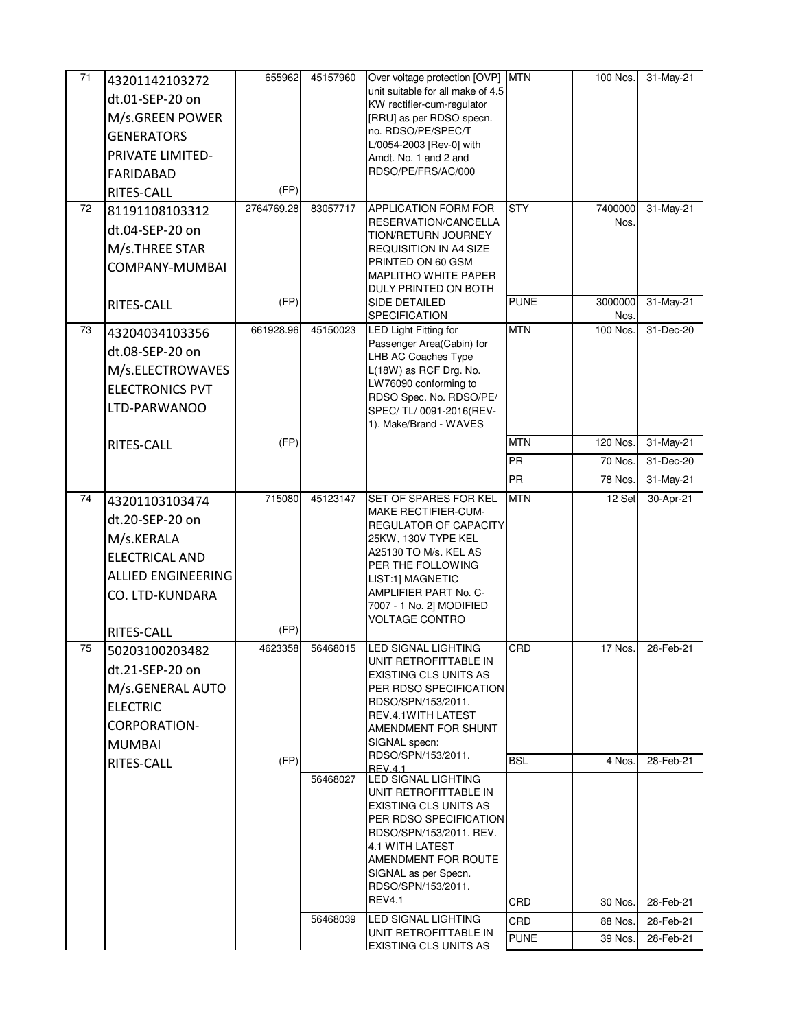| 71 | 43201142103272         | 655962     | 45157960 | Over voltage protection [OVP] MTN                      |             | 100 Nos.        | 31-May-21 |
|----|------------------------|------------|----------|--------------------------------------------------------|-------------|-----------------|-----------|
|    | dt.01-SEP-20 on        |            |          | unit suitable for all make of 4.5                      |             |                 |           |
|    | M/s.GREEN POWER        |            |          | KW rectifier-cum-regulator<br>[RRU] as per RDSO specn. |             |                 |           |
|    | <b>GENERATORS</b>      |            |          | no. RDSO/PE/SPEC/T                                     |             |                 |           |
|    | PRIVATE LIMITED-       |            |          | L/0054-2003 [Rev-0] with                               |             |                 |           |
|    |                        |            |          | Amdt. No. 1 and 2 and<br>RDSO/PE/FRS/AC/000            |             |                 |           |
|    | <b>FARIDABAD</b>       | (FP)       |          |                                                        |             |                 |           |
| 72 | RITES-CALL             | 2764769.28 | 83057717 | APPLICATION FORM FOR                                   | <b>STY</b>  | 7400000         | 31-May-21 |
|    | 81191108103312         |            |          | RESERVATION/CANCELLA                                   |             | Nos.            |           |
|    | dt.04-SEP-20 on        |            |          | TION/RETURN JOURNEY                                    |             |                 |           |
|    | M/s.THREE STAR         |            |          | <b>REQUISITION IN A4 SIZE</b><br>PRINTED ON 60 GSM     |             |                 |           |
|    | COMPANY-MUMBAI         |            |          | MAPLITHO WHITE PAPER                                   |             |                 |           |
|    |                        |            |          | DULY PRINTED ON BOTH                                   |             |                 |           |
|    | RITES-CALL             | (FP)       |          | SIDE DETAILED<br>SPECIFICATION                         | <b>PUNE</b> | 3000000<br>Nos. | 31-May-21 |
| 73 | 43204034103356         | 661928.96  | 45150023 | <b>LED Light Fitting for</b>                           | <b>MTN</b>  | 100 Nos.        | 31-Dec-20 |
|    | dt.08-SEP-20 on        |            |          | Passenger Area(Cabin) for<br>LHB AC Coaches Type       |             |                 |           |
|    | M/s.ELECTROWAVES       |            |          | L(18W) as RCF Drg. No.                                 |             |                 |           |
|    | <b>ELECTRONICS PVT</b> |            |          | LW76090 conforming to                                  |             |                 |           |
|    | LTD-PARWANOO           |            |          | RDSO Spec. No. RDSO/PE/                                |             |                 |           |
|    |                        |            |          | SPEC/TL/0091-2016(REV-<br>1). Make/Brand - WAVES       |             |                 |           |
|    | RITES-CALL             | (FP)       |          |                                                        | <b>MTN</b>  | 120 Nos.        | 31-May-21 |
|    |                        |            |          |                                                        | PR          | 70 Nos.         | 31-Dec-20 |
|    |                        |            |          |                                                        | <b>PR</b>   | 78 Nos.         | 31-May-21 |
| 74 | 43201103103474         | 715080     | 45123147 | <b>SET OF SPARES FOR KEL</b>                           | <b>MTN</b>  | 12 Set          | 30-Apr-21 |
|    | dt.20-SEP-20 on        |            |          | <b>MAKE RECTIFIER-CUM-</b>                             |             |                 |           |
|    | M/s.KERALA             |            |          | REGULATOR OF CAPACITY<br>25KW, 130V TYPE KEL           |             |                 |           |
|    | <b>ELECTRICAL AND</b>  |            |          | A25130 TO M/s. KEL AS                                  |             |                 |           |
|    | ALLIED ENGINEERING     |            |          | PER THE FOLLOWING                                      |             |                 |           |
|    | CO. LTD-KUNDARA        |            |          | LIST:1] MAGNETIC<br>AMPLIFIER PART No. C-              |             |                 |           |
|    |                        |            |          | 7007 - 1 No. 2] MODIFIED                               |             |                 |           |
|    | RITES-CALL             | (FP)       |          | <b>VOLTAGE CONTRO</b>                                  |             |                 |           |
| 75 | 50203100203482         | 4623358    | 56468015 | LED SIGNAL LIGHTING                                    | CRD         | 17 Nos.         | 28-Feb-21 |
|    | dt.21-SEP-20 on        |            |          | UNIT RETROFITTABLE IN                                  |             |                 |           |
|    | M/s.GENERAL AUTO       |            |          | EXISTING CLS UNITS AS<br>PER RDSO SPECIFICATION        |             |                 |           |
|    |                        |            |          | RDSO/SPN/153/2011.                                     |             |                 |           |
|    | <b>ELECTRIC</b>        |            |          | REV.4.1WITH LATEST                                     |             |                 |           |
|    | <b>CORPORATION-</b>    |            |          | AMENDMENT FOR SHUNT<br>SIGNAL specn:                   |             |                 |           |
|    | <b>MUMBAI</b>          | (FP)       |          | RDSO/SPN/153/2011.                                     | <b>BSL</b>  | 4 Nos.          | 28-Feb-21 |
|    | RITES-CALL             |            |          | RFV41<br><b>LED SIGNAL LIGHTING</b>                    |             |                 |           |
|    |                        |            | 56468027 | UNIT RETROFITTABLE IN                                  |             |                 |           |
|    |                        |            |          | <b>EXISTING CLS UNITS AS</b>                           |             |                 |           |
|    |                        |            |          | PER RDSO SPECIFICATION<br>RDSO/SPN/153/2011. REV.      |             |                 |           |
|    |                        |            |          | <b>4.1 WITH LATEST</b>                                 |             |                 |           |
|    |                        |            |          | AMENDMENT FOR ROUTE                                    |             |                 |           |
|    |                        |            |          | SIGNAL as per Specn.                                   |             |                 |           |
|    |                        |            |          | RDSO/SPN/153/2011.<br><b>REV4.1</b>                    | CRD         | 30 Nos.         | 28-Feb-21 |
|    |                        |            | 56468039 | LED SIGNAL LIGHTING                                    | CRD         | 88 Nos.         | 28-Feb-21 |
|    |                        |            |          | UNIT RETROFITTABLE IN                                  | <b>PUNE</b> | 39 Nos.         | 28-Feb-21 |
|    |                        |            |          | <b>EXISTING CLS UNITS AS</b>                           |             |                 |           |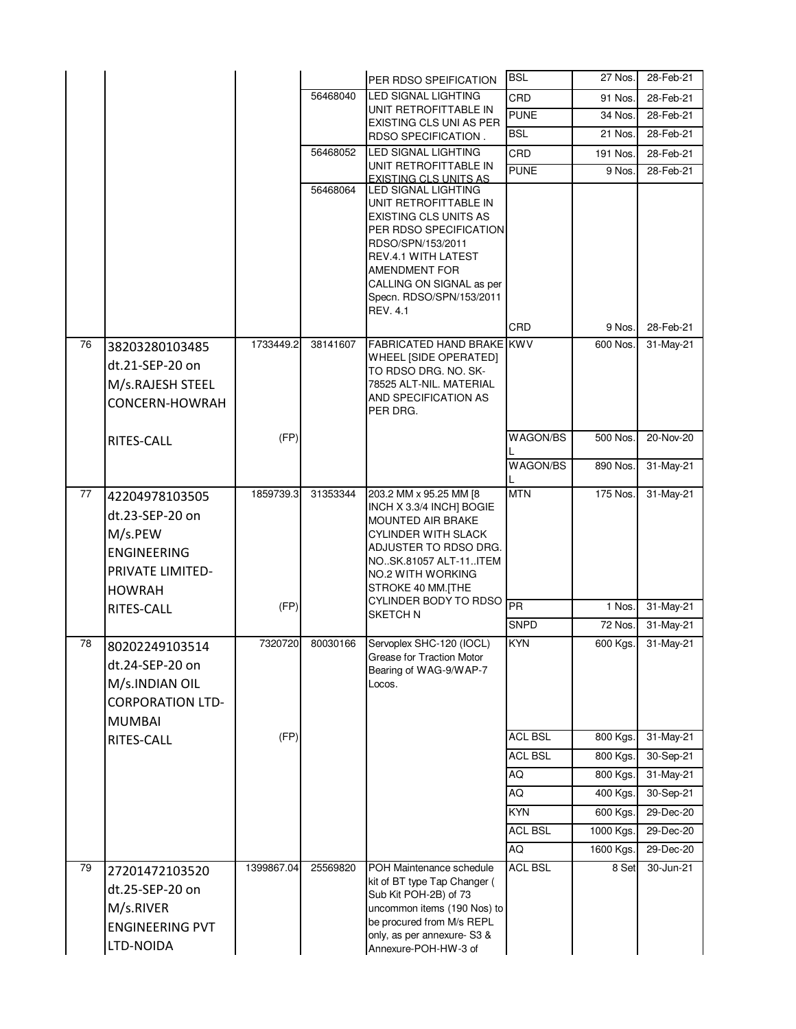|    |                                                                                                                |            |          |                                                                                                                                                                                                          | <b>BSL</b>     | 27 Nos.   | 28-Feb-21 |
|----|----------------------------------------------------------------------------------------------------------------|------------|----------|----------------------------------------------------------------------------------------------------------------------------------------------------------------------------------------------------------|----------------|-----------|-----------|
|    |                                                                                                                |            |          | PER RDSO SPEIFICATION                                                                                                                                                                                    |                |           |           |
|    |                                                                                                                |            | 56468040 | LED SIGNAL LIGHTING<br>UNIT RETROFITTABLE IN                                                                                                                                                             | CRD            | 91 Nos.   | 28-Feb-21 |
|    |                                                                                                                |            |          | EXISTING CLS UNI AS PER                                                                                                                                                                                  | <b>PUNE</b>    | 34 Nos.   | 28-Feb-21 |
|    |                                                                                                                |            |          | RDSO SPECIFICATION.                                                                                                                                                                                      | <b>BSL</b>     | 21 Nos.   | 28-Feb-21 |
|    |                                                                                                                |            | 56468052 | <b>LED SIGNAL LIGHTING</b><br>UNIT RETROFITTABLE IN                                                                                                                                                      | CRD            | 191 Nos.  | 28-Feb-21 |
|    |                                                                                                                |            |          | <b>EXISTING CLS UNITS AS</b>                                                                                                                                                                             | <b>PUNE</b>    | 9 Nos.    | 28-Feb-21 |
|    |                                                                                                                |            | 56468064 | LED SIGNAL LIGHTING<br>UNIT RETROFITTABLE IN<br>EXISTING CLS UNITS AS<br>PER RDSO SPECIFICATION<br>RDSO/SPN/153/2011<br><b>REV.4.1 WITH LATEST</b><br>AMENDMENT FOR                                      |                |           |           |
|    |                                                                                                                |            |          | CALLING ON SIGNAL as per<br>Specn. RDSO/SPN/153/2011                                                                                                                                                     |                |           |           |
|    |                                                                                                                |            |          | <b>REV. 4.1</b>                                                                                                                                                                                          |                |           |           |
|    |                                                                                                                |            |          |                                                                                                                                                                                                          | <b>CRD</b>     | 9 Nos.    | 28-Feb-21 |
| 76 | 38203280103485<br>dt.21-SEP-20 on<br>M/s.RAJESH STEEL<br>CONCERN-HOWRAH                                        | 1733449.2  | 38141607 | <b>FABRICATED HAND BRAKE KWV</b><br>WHEEL [SIDE OPERATED]<br>TO RDSO DRG. NO. SK-<br>78525 ALT-NIL. MATERIAL<br>AND SPECIFICATION AS<br>PER DRG.                                                         |                | 600 Nos.  | 31-May-21 |
|    | <b>RITES-CALL</b>                                                                                              | (FP)       |          |                                                                                                                                                                                                          | WAGON/BS       | 500 Nos.  | 20-Nov-20 |
|    |                                                                                                                |            |          |                                                                                                                                                                                                          | WAGON/BS       | 890 Nos.  | 31-May-21 |
| 77 | 42204978103505<br>dt.23-SEP-20 on<br>M/s.PEW<br><b>ENGINEERING</b><br><b>PRIVATE LIMITED-</b><br><b>HOWRAH</b> | 1859739.3  | 31353344 | 203.2 MM x 95.25 MM [8<br>INCH X 3.3/4 INCH] BOGIE<br><b>MOUNTED AIR BRAKE</b><br><b>CYLINDER WITH SLACK</b><br>ADJUSTER TO RDSO DRG.<br>NOSK.81057 ALT-11ITEM<br>NO.2 WITH WORKING<br>STROKE 40 MM.[THE | <b>MTN</b>     | 175 Nos.  | 31-May-21 |
|    | RITES-CALL                                                                                                     | (FP)       |          | CYLINDER BODY TO RDSO<br><b>SKETCH N</b>                                                                                                                                                                 | PR             | 1 Nos.    | 31-May-21 |
|    |                                                                                                                |            |          |                                                                                                                                                                                                          | <b>SNPD</b>    | 72 Nos.   | 31-May-21 |
| 78 | 80202249103514<br>dt.24-SEP-20 on<br>M/s.INDIAN OIL<br><b>CORPORATION LTD-</b><br><b>MUMBAI</b>                | 7320720    | 80030166 | Servoplex SHC-120 (IOCL)<br>Grease for Traction Motor<br>Bearing of WAG-9/WAP-7<br>Locos.                                                                                                                | <b>KYN</b>     | 600 Kgs.  | 31-May-21 |
|    | RITES-CALL                                                                                                     | (FP)       |          |                                                                                                                                                                                                          | <b>ACL BSL</b> | 800 Kgs.  | 31-May-21 |
|    |                                                                                                                |            |          |                                                                                                                                                                                                          | <b>ACL BSL</b> | 800 Kgs.  | 30-Sep-21 |
|    |                                                                                                                |            |          |                                                                                                                                                                                                          | AQ             | 800 Kgs.  | 31-May-21 |
|    |                                                                                                                |            |          |                                                                                                                                                                                                          | AQ             | 400 Kgs.  | 30-Sep-21 |
|    |                                                                                                                |            |          |                                                                                                                                                                                                          | <b>KYN</b>     | 600 Kgs.  | 29-Dec-20 |
|    |                                                                                                                |            |          |                                                                                                                                                                                                          | <b>ACL BSL</b> | 1000 Kgs. | 29-Dec-20 |
|    |                                                                                                                |            |          |                                                                                                                                                                                                          | <b>AQ</b>      | 1600 Kgs. | 29-Dec-20 |
| 79 | 27201472103520<br>dt.25-SEP-20 on<br>M/s.RIVER<br><b>ENGINEERING PVT</b><br>LTD-NOIDA                          | 1399867.04 | 25569820 | POH Maintenance schedule<br>kit of BT type Tap Changer (<br>Sub Kit POH-2B) of 73<br>uncommon items (190 Nos) to<br>be procured from M/s REPL<br>only, as per annexure- S3 &<br>Annexure-POH-HW-3 of     | <b>ACL BSL</b> | 8 Set     | 30-Jun-21 |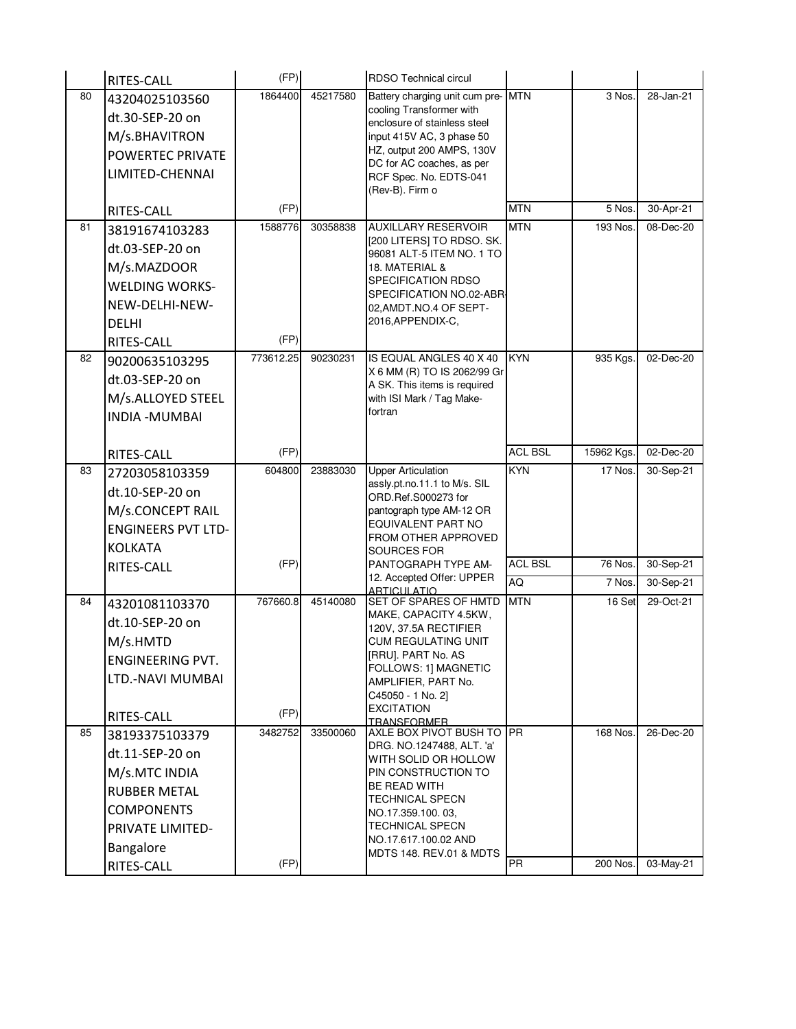|    | RITES-CALL                | (FP)      |          | RDSO Technical circul                                       |                |            |           |
|----|---------------------------|-----------|----------|-------------------------------------------------------------|----------------|------------|-----------|
| 80 | 43204025103560            | 1864400   | 45217580 | Battery charging unit cum pre-MTN                           |                | 3 Nos.     | 28-Jan-21 |
|    | dt.30-SEP-20 on           |           |          | cooling Transformer with<br>enclosure of stainless steel    |                |            |           |
|    | M/s.BHAVITRON             |           |          | input 415V AC, 3 phase 50                                   |                |            |           |
|    | <b>POWERTEC PRIVATE</b>   |           |          | HZ, output 200 AMPS, 130V                                   |                |            |           |
|    | LIMITED-CHENNAI           |           |          | DC for AC coaches, as per<br>RCF Spec. No. EDTS-041         |                |            |           |
|    |                           |           |          | (Rev-B). Firm o                                             |                |            |           |
|    | RITES-CALL                | (FP)      |          |                                                             | <b>MTN</b>     | 5 Nos.     | 30-Apr-21 |
| 81 | 38191674103283            | 1588776   | 30358838 | <b>AUXILLARY RESERVOIR</b>                                  | <b>MTN</b>     | 193 Nos.   | 08-Dec-20 |
|    | dt.03-SEP-20 on           |           |          | [200 LITERS] TO RDSO. SK.<br>96081 ALT-5 ITEM NO. 1 TO      |                |            |           |
|    | M/s.MAZDOOR               |           |          | 18. MATERIAL &                                              |                |            |           |
|    | <b>WELDING WORKS-</b>     |           |          | SPECIFICATION RDSO                                          |                |            |           |
|    | NEW-DELHI-NEW-            |           |          | SPECIFICATION NO.02-ABR<br>02, AMDT.NO.4 OF SEPT-           |                |            |           |
|    | <b>DELHI</b>              |           |          | 2016, APPENDIX-C,                                           |                |            |           |
|    | RITES-CALL                | (FP)      |          |                                                             |                |            |           |
| 82 | 90200635103295            | 773612.25 | 90230231 | IS EQUAL ANGLES 40 X 40                                     | <b>KYN</b>     | 935 Kgs.   | 02-Dec-20 |
|    | dt.03-SEP-20 on           |           |          | X 6 MM (R) TO IS 2062/99 Gr<br>A SK. This items is required |                |            |           |
|    | M/s.ALLOYED STEEL         |           |          | with ISI Mark / Tag Make-                                   |                |            |           |
|    | <b>INDIA - MUMBAI</b>     |           |          | fortran                                                     |                |            |           |
|    |                           |           |          |                                                             |                |            |           |
|    | RITES-CALL                | (FP)      |          |                                                             | <b>ACL BSL</b> | 15962 Kgs. | 02-Dec-20 |
| 83 | 27203058103359            | 604800    | 23883030 | <b>Upper Articulation</b>                                   | <b>KYN</b>     | 17 Nos.    | 30-Sep-21 |
|    | dt.10-SEP-20 on           |           |          | assly.pt.no.11.1 to M/s. SIL<br>ORD.Ref.S000273 for         |                |            |           |
|    | M/s.CONCEPT RAIL          |           |          | pantograph type AM-12 OR                                    |                |            |           |
|    | <b>ENGINEERS PVT LTD-</b> |           |          | EQUIVALENT PART NO<br>FROM OTHER APPROVED                   |                |            |           |
|    | <b>KOLKATA</b>            |           |          | SOURCES FOR                                                 |                |            |           |
|    | RITES-CALL                | (FP)      |          | PANTOGRAPH TYPE AM-                                         | <b>ACL BSL</b> | 76 Nos.    | 30-Sep-21 |
|    |                           |           |          | 12. Accepted Offer: UPPER<br><b>ARTICULATIO</b>             | <b>AQ</b>      | 7 Nos.     | 30-Sep-21 |
| 84 | 43201081103370            | 767660.8  | 45140080 | SET OF SPARES OF HMTD                                       | <b>MTN</b>     | 16 Set     | 29-Oct-21 |
|    | dt.10-SEP-20 on           |           |          | MAKE, CAPACITY 4.5KW,<br>120V, 37.5A RECTIFIER              |                |            |           |
|    | M/s.HMTD                  |           |          | CUM REGULATING UNIT                                         |                |            |           |
|    | <b>ENGINEERING PVT.</b>   |           |          | [RRU]. PART No. AS                                          |                |            |           |
|    | LTD.-NAVI MUMBAI          |           |          | FOLLOWS: 1] MAGNETIC<br>AMPLIFIER, PART No.                 |                |            |           |
|    |                           |           |          | C45050 - 1 No. 2]                                           |                |            |           |
|    | RITES-CALL                | (FP)      |          | <b>EXCITATION</b><br><b>TRANSFORMER</b>                     |                |            |           |
| 85 | 38193375103379            | 3482752   | 33500060 | AXLE BOX PIVOT BUSH TO PR                                   |                | 168 Nos.   | 26-Dec-20 |
|    | dt.11-SEP-20 on           |           |          | DRG. NO.1247488, ALT. 'a'<br>WITH SOLID OR HOLLOW           |                |            |           |
|    | M/s.MTC INDIA             |           |          | PIN CONSTRUCTION TO                                         |                |            |           |
|    | <b>RUBBER METAL</b>       |           |          | BE READ WITH                                                |                |            |           |
|    | <b>COMPONENTS</b>         |           |          | <b>TECHNICAL SPECN</b><br>NO.17.359.100.03,                 |                |            |           |
|    | PRIVATE LIMITED-          |           |          | <b>TECHNICAL SPECN</b>                                      |                |            |           |
|    | Bangalore                 |           |          | NO.17.617.100.02 AND<br><b>MDTS 148. REV.01 &amp; MDTS</b>  |                |            |           |
|    | RITES-CALL                | (FP)      |          |                                                             | <b>PR</b>      | 200 Nos.   | 03-May-21 |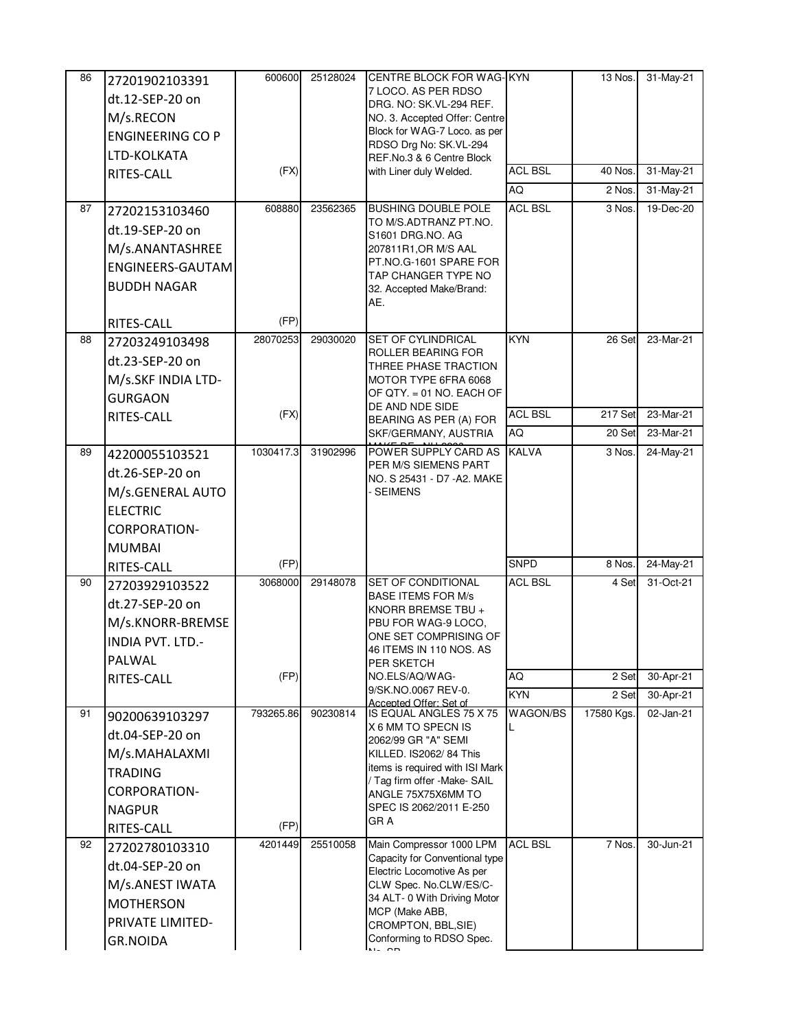| 86 | 27201902103391          | 600600    | 25128024 | <b>CENTRE BLOCK FOR WAG- KYN</b>                         |                | 13 Nos.    | 31-May-21       |
|----|-------------------------|-----------|----------|----------------------------------------------------------|----------------|------------|-----------------|
|    | dt.12-SEP-20 on         |           |          | 7 LOCO. AS PER RDSO                                      |                |            |                 |
|    | M/s.RECON               |           |          | DRG. NO: SK.VL-294 REF.<br>NO. 3. Accepted Offer: Centre |                |            |                 |
|    | <b>ENGINEERING CO P</b> |           |          | Block for WAG-7 Loco. as per                             |                |            |                 |
|    | LTD-KOLKATA             |           |          | RDSO Drg No: SK.VL-294                                   |                |            |                 |
|    |                         | (FX)      |          | REF.No.3 & 6 Centre Block<br>with Liner duly Welded.     | <b>ACL BSL</b> | 40 Nos.    | 31-May-21       |
|    | RITES-CALL              |           |          |                                                          | AQ             | 2 Nos.     | 31-May-21       |
| 87 |                         | 608880    | 23562365 | <b>BUSHING DOUBLE POLE</b>                               | <b>ACL BSL</b> | 3 Nos.     | 19-Dec-20       |
|    | 27202153103460          |           |          | TO M/S.ADTRANZ PT.NO.                                    |                |            |                 |
|    | dt.19-SEP-20 on         |           |          | S1601 DRG.NO. AG                                         |                |            |                 |
|    | M/s.ANANTASHREE         |           |          | 207811R1, OR M/S AAL<br>PT.NO.G-1601 SPARE FOR           |                |            |                 |
|    | <b>ENGINEERS-GAUTAM</b> |           |          | TAP CHANGER TYPE NO                                      |                |            |                 |
|    | <b>BUDDH NAGAR</b>      |           |          | 32. Accepted Make/Brand:                                 |                |            |                 |
|    |                         | (FP)      |          | AE.                                                      |                |            |                 |
| 88 | RITES-CALL              | 28070253  | 29030020 | SET OF CYLINDRICAL                                       | <b>KYN</b>     | 26 Set     | 23-Mar-21       |
|    | 27203249103498          |           |          | ROLLER BEARING FOR                                       |                |            |                 |
|    | dt.23-SEP-20 on         |           |          | THREE PHASE TRACTION                                     |                |            |                 |
|    | M/s.SKF INDIA LTD-      |           |          | MOTOR TYPE 6FRA 6068<br>OF QTY. = 01 NO. EACH OF         |                |            |                 |
|    | <b>GURGAON</b>          |           |          | DE AND NDE SIDE                                          |                |            |                 |
|    | RITES-CALL              | (FX)      |          | BEARING AS PER (A) FOR                                   | <b>ACL BSL</b> | 217 Set    | 23-Mar-21       |
|    |                         |           |          | SKF/GERMANY, AUSTRIA                                     | <b>AQ</b>      | 20 Set     | 23-Mar-21       |
| 89 | 42200055103521          | 1030417.3 | 31902996 | POWER SUPPLY CARD AS<br>PER M/S SIEMENS PART             | <b>KALVA</b>   | 3 Nos.     | 24-May-21       |
|    | dt.26-SEP-20 on         |           |          | NO. S 25431 - D7 - A2. MAKE                              |                |            |                 |
|    | M/s.GENERAL AUTO        |           |          | <b>SEIMENS</b>                                           |                |            |                 |
|    | <b>ELECTRIC</b>         |           |          |                                                          |                |            |                 |
|    | <b>CORPORATION-</b>     |           |          |                                                          |                |            |                 |
|    | <b>MUMBAI</b>           |           |          |                                                          |                |            |                 |
|    | RITES-CALL              | (FP)      |          |                                                          | <b>SNPD</b>    | 8 Nos.     | $24-May-21$     |
| 90 | 27203929103522          | 3068000   | 29148078 | <b>SET OF CONDITIONAL</b>                                | <b>ACL BSL</b> | 4 Set      | 31-Oct-21       |
|    | dt.27-SEP-20 on         |           |          | <b>BASE ITEMS FOR M/s</b><br>KNORR BREMSE TBU +          |                |            |                 |
|    | M/s.KNORR-BREMSE        |           |          | PBU FOR WAG-9 LOCO.                                      |                |            |                 |
|    | INDIA PVT. LTD.-        |           |          | ONE SET COMPRISING OF                                    |                |            |                 |
|    | PALWAL                  |           |          | 46 ITEMS IN 110 NOS. AS<br>PER SKETCH                    |                |            |                 |
|    | RITES-CALL              | (FP)      |          | NO.ELS/AQ/WAG-                                           | AQ             | 2 Set      | 30-Apr-21       |
|    |                         |           |          | 9/SK.NO.0067 REV-0.<br>Accented Offer: Set of            | <b>KYN</b>     | 2 Set      | $30 - Apr - 21$ |
| 91 | 90200639103297          | 793265.86 | 90230814 | IS EQUAL ANGLES 75 X 75                                  | WAGON/BS       | 17580 Kgs. | 02-Jan-21       |
|    | dt.04-SEP-20 on         |           |          | X 6 MM TO SPECN IS<br>2062/99 GR "A" SEMI                |                |            |                 |
|    | M/s.MAHALAXMI           |           |          | KILLED. IS2062/84 This                                   |                |            |                 |
|    | <b>TRADING</b>          |           |          | items is required with ISI Mark                          |                |            |                 |
|    | <b>CORPORATION-</b>     |           |          | / Tag firm offer -Make- SAIL<br>ANGLE 75X75X6MM TO       |                |            |                 |
|    | <b>NAGPUR</b>           |           |          | SPEC IS 2062/2011 E-250                                  |                |            |                 |
|    | RITES-CALL              | (FP)      |          | GR A                                                     |                |            |                 |
| 92 | 27202780103310          | 4201449   | 25510058 | Main Compressor 1000 LPM                                 | <b>ACL BSL</b> | 7 Nos.     | 30-Jun-21       |
|    | dt.04-SEP-20 on         |           |          | Capacity for Conventional type                           |                |            |                 |
|    | M/s.ANEST IWATA         |           |          | Electric Locomotive As per<br>CLW Spec. No.CLW/ES/C-     |                |            |                 |
|    | <b>MOTHERSON</b>        |           |          | 34 ALT- 0 With Driving Motor                             |                |            |                 |
|    | PRIVATE LIMITED-        |           |          | MCP (Make ABB,<br>CROMPTON, BBL, SIE)                    |                |            |                 |
|    | <b>GR.NOIDA</b>         |           |          | Conforming to RDSO Spec.                                 |                |            |                 |
|    |                         |           |          | $\overline{M}$ $\overline{M}$                            |                |            |                 |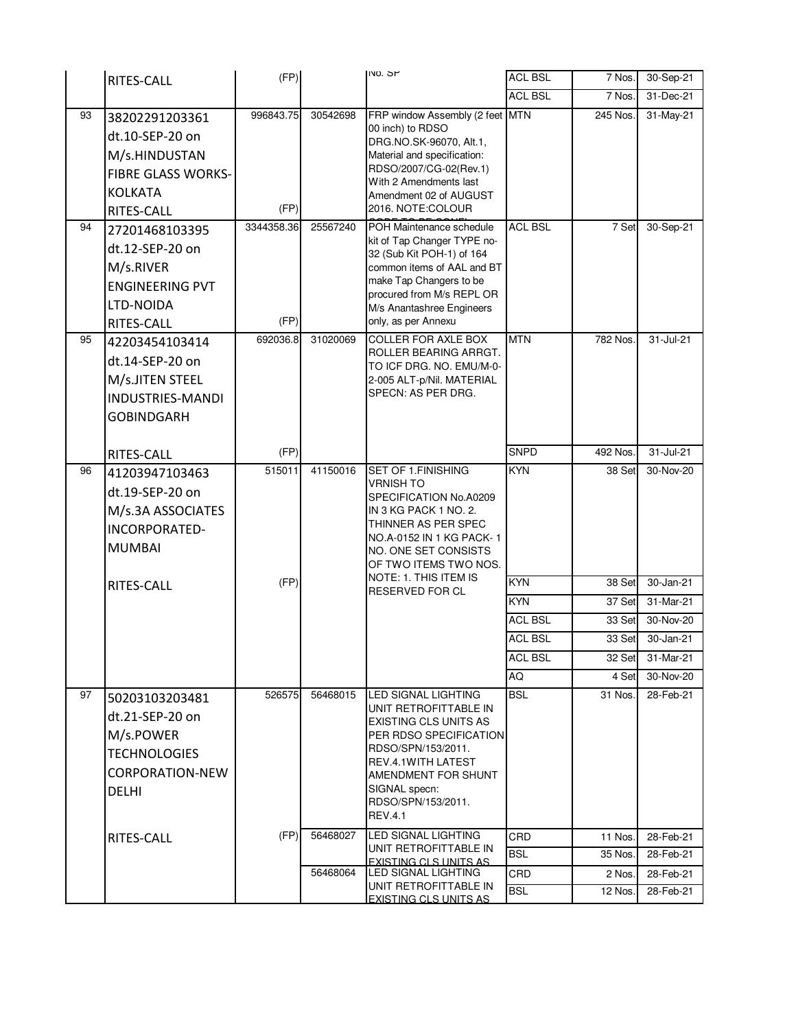|          | RITES-CALL                                                                                                                               | (FP)                            |                      | <b>NO. SP</b>                                                                                                                                                                                                                             | <b>ACL BSL</b>               | 7 Nos.            | 30-Sep-21              |
|----------|------------------------------------------------------------------------------------------------------------------------------------------|---------------------------------|----------------------|-------------------------------------------------------------------------------------------------------------------------------------------------------------------------------------------------------------------------------------------|------------------------------|-------------------|------------------------|
|          |                                                                                                                                          |                                 |                      |                                                                                                                                                                                                                                           | <b>ACL BSL</b>               | 7 Nos.            | 31-Dec-21              |
| 93<br>94 | 38202291203361<br>dt.10-SEP-20 on<br>M/s.HINDUSTAN<br><b>FIBRE GLASS WORKS-</b><br><b>KOLKATA</b><br><b>RITES-CALL</b><br>27201468103395 | 996843.75<br>(FP)<br>3344358.36 | 30542698<br>25567240 | FRP window Assembly (2 feet<br>00 inch) to RDSO<br>DRG.NO.SK-96070, Alt.1,<br>Material and specification:<br>RDSO/2007/CG-02(Rev.1)<br>With 2 Amendments last<br>Amendment 02 of AUGUST<br>2016. NOTE:COLOUR<br>POH Maintenance schedule  | <b>MTN</b><br><b>ACL BSL</b> | 245 Nos.<br>7 Set | 31-May-21<br>30-Sep-21 |
|          | dt.12-SEP-20 on<br>M/s.RIVER<br><b>ENGINEERING PVT</b><br>LTD-NOIDA<br>RITES-CALL                                                        | (FP)                            |                      | kit of Tap Changer TYPE no-<br>32 (Sub Kit POH-1) of 164<br>common items of AAL and BT<br>make Tap Changers to be<br>procured from M/s REPL OR<br>M/s Anantashree Engineers<br>only, as per Annexu                                        |                              |                   |                        |
| 95       | 42203454103414<br>dt.14-SEP-20 on<br>M/s.JITEN STEEL<br><b>INDUSTRIES-MANDI</b><br><b>GOBINDGARH</b>                                     | 692036.8                        | 31020069             | <b>COLLER FOR AXLE BOX</b><br>ROLLER BEARING ARRGT.<br>TO ICF DRG. NO. EMU/M-0-<br>2-005 ALT-p/Nil. MATERIAL<br>SPECN: AS PER DRG.                                                                                                        | <b>MTN</b>                   | 782 Nos.          | 31-Jul-21              |
|          | RITES-CALL                                                                                                                               | (FP)                            |                      |                                                                                                                                                                                                                                           | <b>SNPD</b>                  | 492 Nos.          | 31-Jul-21              |
| 96       | 41203947103463<br>dt.19-SEP-20 on<br>M/s.3A ASSOCIATES<br>INCORPORATED-<br><b>MUMBAI</b>                                                 | 515011                          | 41150016             | SET OF 1.FINISHING<br><b>VRNISH TO</b><br>SPECIFICATION No.A0209<br>IN 3 KG PACK 1 NO. 2.<br>THINNER AS PER SPEC<br>NO.A-0152 IN 1 KG PACK-1<br>NO. ONE SET CONSISTS<br>OF TWO ITEMS TWO NOS.                                             | <b>KYN</b>                   | 38 Set            | 30-Nov-20              |
|          | RITES-CALL                                                                                                                               | (FP)                            |                      | NOTE: 1. THIS ITEM IS<br><b>RESERVED FOR CL</b>                                                                                                                                                                                           | <b>KYN</b>                   | 38 Set            | 30-Jan-21              |
|          |                                                                                                                                          |                                 |                      |                                                                                                                                                                                                                                           | KYN                          | 37 Set            | 31-Mar-21              |
|          |                                                                                                                                          |                                 |                      |                                                                                                                                                                                                                                           | <b>ACL BSL</b>               | 33 Set            | 30-Nov-20              |
|          |                                                                                                                                          |                                 |                      |                                                                                                                                                                                                                                           | <b>ACL BSL</b>               | 33 Set            | 30-Jan-21              |
|          |                                                                                                                                          |                                 |                      |                                                                                                                                                                                                                                           | <b>ACL BSL</b>               | 32 Set            | 31-Mar-21              |
|          |                                                                                                                                          |                                 |                      |                                                                                                                                                                                                                                           | AQ                           | 4 Set             | 30-Nov-20              |
| 97       | 50203103203481<br>dt.21-SEP-20 on<br>M/s.POWER<br><b>TECHNOLOGIES</b><br><b>CORPORATION-NEW</b><br><b>DELHI</b>                          | 526575                          | 56468015             | <b>LED SIGNAL LIGHTING</b><br>UNIT RETROFITTABLE IN<br><b>EXISTING CLS UNITS AS</b><br>PER RDSO SPECIFICATION<br>RDSO/SPN/153/2011.<br>REV.4.1WITH LATEST<br>AMENDMENT FOR SHUNT<br>SIGNAL specn:<br>RDSO/SPN/153/2011.<br><b>REV.4.1</b> | <b>BSL</b>                   | 31 Nos.           | 28-Feb-21              |
|          | RITES-CALL                                                                                                                               | (FP)                            | 56468027             | <b>LED SIGNAL LIGHTING</b>                                                                                                                                                                                                                | CRD                          | 11 Nos.           | 28-Feb-21              |
|          |                                                                                                                                          |                                 |                      | UNIT RETROFITTABLE IN<br><b>EXISTING CLS UNITS AS</b>                                                                                                                                                                                     | <b>BSL</b>                   | 35 Nos.           | 28-Feb-21              |
|          |                                                                                                                                          |                                 | 56468064             | LED SIGNAL LIGHTING<br>UNIT RETROFITTABLE IN                                                                                                                                                                                              | CRD                          | 2 Nos.            | 28-Feb-21              |
|          |                                                                                                                                          |                                 |                      | EXISTING CLS UNITS AS                                                                                                                                                                                                                     | <b>BSL</b>                   | 12 Nos.           | 28-Feb-21              |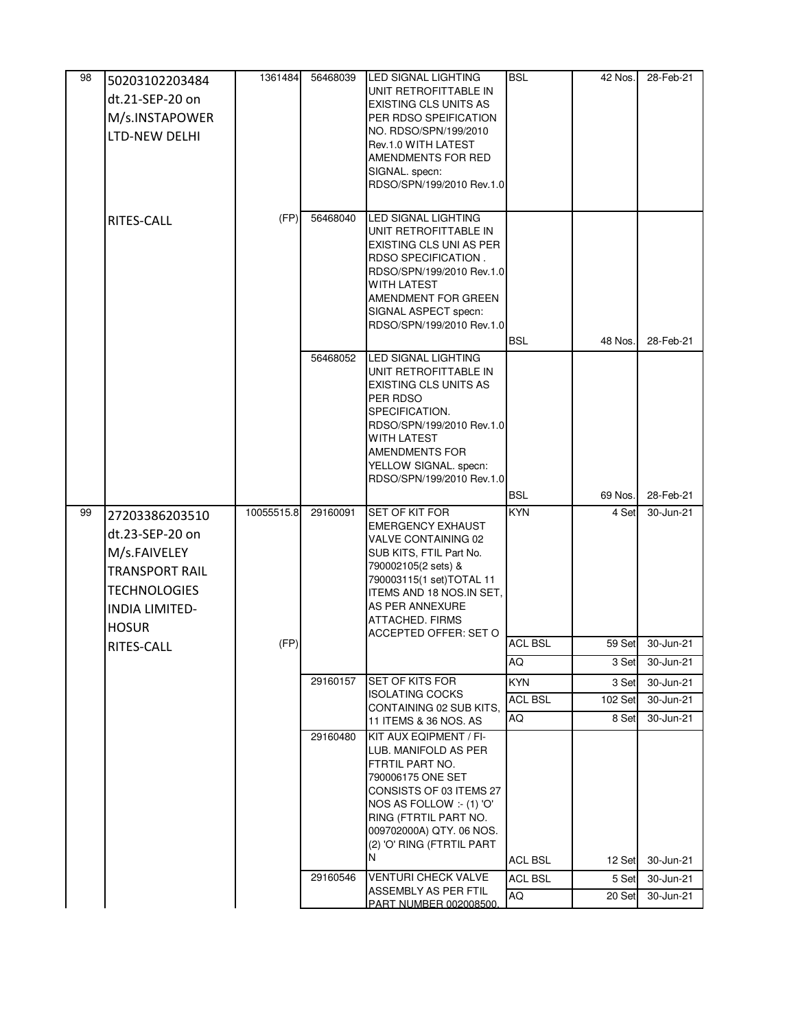| 98 | 50203102203484        | 1361484    | 56468039 | <b>LED SIGNAL LIGHTING</b>                         | <b>BSL</b>     | 42 Nos. | 28-Feb-21 |
|----|-----------------------|------------|----------|----------------------------------------------------|----------------|---------|-----------|
|    | dt.21-SEP-20 on       |            |          | UNIT RETROFITTABLE IN                              |                |         |           |
|    |                       |            |          | <b>EXISTING CLS UNITS AS</b>                       |                |         |           |
|    | M/s.INSTAPOWER        |            |          | PER RDSO SPEIFICATION<br>NO. RDSO/SPN/199/2010     |                |         |           |
|    | LTD-NEW DELHI         |            |          | Rev.1.0 WITH LATEST                                |                |         |           |
|    |                       |            |          | AMENDMENTS FOR RED                                 |                |         |           |
|    |                       |            |          | SIGNAL. specn:                                     |                |         |           |
|    |                       |            |          | RDSO/SPN/199/2010 Rev.1.0                          |                |         |           |
|    |                       |            |          |                                                    |                |         |           |
|    | RITES-CALL            | (FP)       | 56468040 | LED SIGNAL LIGHTING<br>UNIT RETROFITTABLE IN       |                |         |           |
|    |                       |            |          | <b>EXISTING CLS UNI AS PER</b>                     |                |         |           |
|    |                       |            |          | RDSO SPECIFICATION.                                |                |         |           |
|    |                       |            |          | RDSO/SPN/199/2010 Rev.1.0                          |                |         |           |
|    |                       |            |          | WITH LATEST                                        |                |         |           |
|    |                       |            |          | AMENDMENT FOR GREEN<br>SIGNAL ASPECT specn:        |                |         |           |
|    |                       |            |          | RDSO/SPN/199/2010 Rev.1.0                          |                |         |           |
|    |                       |            |          |                                                    | <b>BSL</b>     | 48 Nos. | 28-Feb-21 |
|    |                       |            | 56468052 | LED SIGNAL LIGHTING                                |                |         |           |
|    |                       |            |          | UNIT RETROFITTABLE IN                              |                |         |           |
|    |                       |            |          | EXISTING CLS UNITS AS                              |                |         |           |
|    |                       |            |          | PER RDSO<br>SPECIFICATION.                         |                |         |           |
|    |                       |            |          | RDSO/SPN/199/2010 Rev.1.0                          |                |         |           |
|    |                       |            |          | WITH LATEST                                        |                |         |           |
|    |                       |            |          | AMENDMENTS FOR                                     |                |         |           |
|    |                       |            |          | YELLOW SIGNAL. specn:<br>RDSO/SPN/199/2010 Rev.1.0 |                |         |           |
|    |                       |            |          |                                                    | <b>BSL</b>     | 69 Nos. | 28-Feb-21 |
| 99 | 27203386203510        | 10055515.8 | 29160091 | SET OF KIT FOR                                     | <b>KYN</b>     | 4 Set   | 30-Jun-21 |
|    |                       |            |          | <b>EMERGENCY EXHAUST</b>                           |                |         |           |
|    | dt.23-SEP-20 on       |            |          | VALVE CONTAINING 02                                |                |         |           |
|    | M/s.FAIVELEY          |            |          | SUB KITS, FTIL Part No.                            |                |         |           |
|    | <b>TRANSPORT RAIL</b> |            |          | 790002105(2 sets) &<br>790003115(1 set)TOTAL 11    |                |         |           |
|    | <b>TECHNOLOGIES</b>   |            |          | <b>ITEMS AND 18 NOS.IN SET.</b>                    |                |         |           |
|    | <b>INDIA LIMITED-</b> |            |          | AS PER ANNEXURE                                    |                |         |           |
|    | <b>HOSUR</b>          |            |          | <b>ATTACHED. FIRMS</b>                             |                |         |           |
|    | RITES-CALL            | (FP)       |          | ACCEPTED OFFER: SET O                              | <b>ACL BSL</b> | 59 Set  | 30-Jun-21 |
|    |                       |            |          |                                                    | AQ             | 3 Set   | 30-Jun-21 |
|    |                       |            | 29160157 | SET OF KITS FOR                                    | <b>KYN</b>     | 3 Set   | 30-Jun-21 |
|    |                       |            |          | <b>ISOLATING COCKS</b>                             | <b>ACL BSL</b> | 102 Set | 30-Jun-21 |
|    |                       |            |          | CONTAINING 02 SUB KITS,                            |                |         |           |
|    |                       |            |          | 11 ITEMS & 36 NOS. AS                              | AQ             | 8 Set   | 30-Jun-21 |
|    |                       |            | 29160480 | KIT AUX EQIPMENT / FI-<br>LUB. MANIFOLD AS PER     |                |         |           |
|    |                       |            |          | FTRTIL PART NO.                                    |                |         |           |
|    |                       |            |          | 790006175 ONE SET                                  |                |         |           |
|    |                       |            |          | CONSISTS OF 03 ITEMS 27                            |                |         |           |
|    |                       |            |          | NOS AS FOLLOW :- (1) 'O'<br>RING (FTRTIL PART NO.  |                |         |           |
|    |                       |            |          | 009702000A) QTY. 06 NOS.                           |                |         |           |
|    |                       |            |          | (2) 'O' RING (FTRTIL PART                          |                |         |           |
|    |                       |            |          | N                                                  | <b>ACL BSL</b> | 12 Set  | 30-Jun-21 |
|    |                       |            |          |                                                    |                |         |           |
|    |                       |            | 29160546 | <b>VENTURI CHECK VALVE</b>                         | <b>ACL BSL</b> | 5 Set   | 30-Jun-21 |
|    |                       |            |          | ASSEMBLY AS PER FTIL<br>PART NUMBER 002008500      | AQ             | 20 Set  | 30-Jun-21 |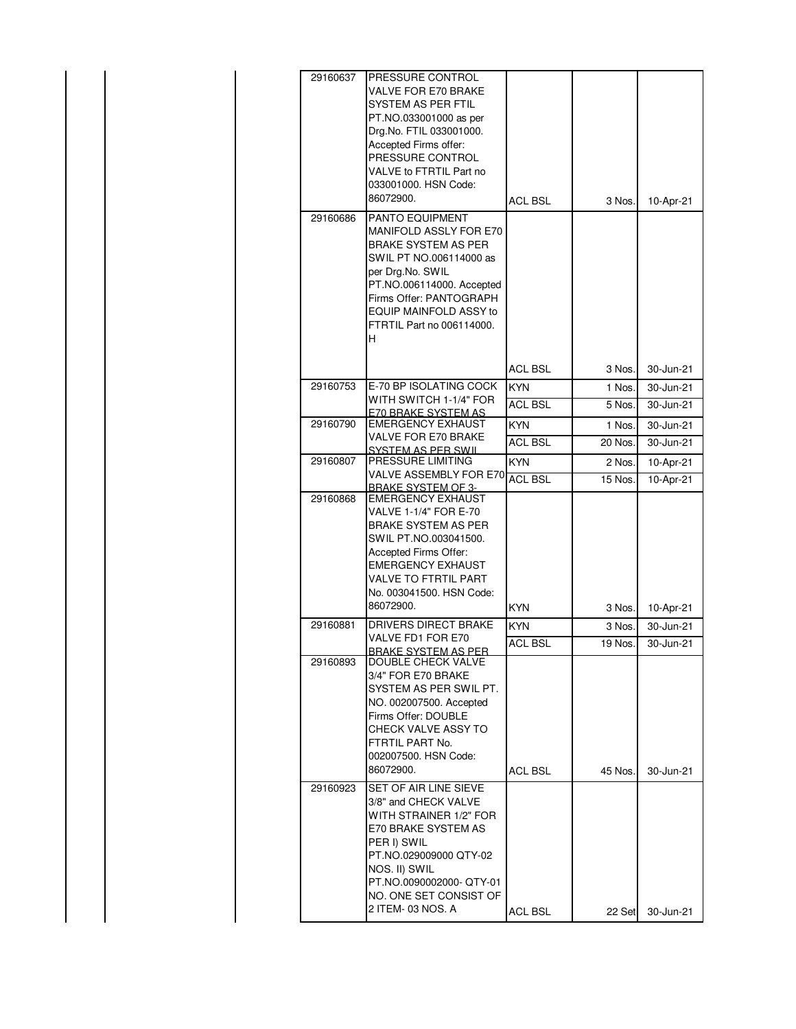| 29160637 | PRESSURE CONTROL                                 |                |         |           |
|----------|--------------------------------------------------|----------------|---------|-----------|
|          | VALVE FOR E70 BRAKE                              |                |         |           |
|          | SYSTEM AS PER FTIL                               |                |         |           |
|          | PT.NO.033001000 as per                           |                |         |           |
|          | Drg.No. FTIL 033001000.                          |                |         |           |
|          | Accepted Firms offer:                            |                |         |           |
|          | PRESSURE CONTROL                                 |                |         |           |
|          | VALVE to FTRTIL Part no                          |                |         |           |
|          | 033001000. HSN Code:                             |                |         |           |
|          | 86072900.                                        | <b>ACL BSL</b> | 3 Nos.  | 10-Apr-21 |
|          |                                                  |                |         |           |
| 29160686 | <b>PANTO EQUIPMENT</b>                           |                |         |           |
|          | MANIFOLD ASSLY FOR E70<br>BRAKE SYSTEM AS PER    |                |         |           |
|          | SWIL PT NO.006114000 as                          |                |         |           |
|          | per Drg.No. SWIL                                 |                |         |           |
|          | PT.NO.006114000. Accepted                        |                |         |           |
|          | Firms Offer: PANTOGRAPH                          |                |         |           |
|          | EQUIP MAINFOLD ASSY to                           |                |         |           |
|          | FTRTIL Part no 006114000.                        |                |         |           |
|          | H                                                |                |         |           |
|          |                                                  |                |         |           |
|          |                                                  | <b>ACL BSL</b> | 3 Nos.  | 30-Jun-21 |
| 29160753 | E-70 BP ISOLATING COCK                           |                |         |           |
|          | WITH SWITCH 1-1/4" FOR                           | <b>KYN</b>     | 1 Nos.  | 30-Jun-21 |
|          | F70 BBAKE SYSTEM AS                              | ACL BSL        | 5 Nos.  | 30-Jun-21 |
| 29160790 | <b>EMERGENCY EXHAUST</b>                         | <b>KYN</b>     | 1 Nos.  | 30-Jun-21 |
|          | VALVE FOR E70 BRAKE<br><b>SYSTEM AS PER SWIL</b> | <b>ACL BSL</b> | 20 Nos. | 30-Jun-21 |
| 29160807 | PRESSURE LIMITING                                | <b>KYN</b>     | 2 Nos.  | 10-Apr-21 |
|          | VALVE ASSEMBLY FOR E70                           | <b>ACL BSL</b> | 15 Nos. | 10-Apr-21 |
|          | BRAKE SYSTEM OF 3-                               |                |         |           |
| 29160868 | <b>EMERGENCY EXHAUST</b>                         |                |         |           |
|          | VALVE 1-1/4" FOR E-70                            |                |         |           |
|          | BRAKE SYSTEM AS PER<br>SWIL PT.NO.003041500.     |                |         |           |
|          | Accepted Firms Offer:                            |                |         |           |
|          | <b>EMERGENCY EXHAUST</b>                         |                |         |           |
|          | <b>VALVE TO FTRTIL PART</b>                      |                |         |           |
|          | No. 003041500. HSN Code:                         |                |         |           |
|          | 86072900.                                        | KYN            | 3 Nos.  | 10-Apr-21 |
| 29160881 | DRIVERS DIRECT BRAKE                             | KYN            | 3 Nos.  | 30-Jun-21 |
|          | VALVE FD1 FOR E70                                |                |         |           |
|          | RRAKE SYSTEM AS PER                              | <b>ACL BSL</b> | 19 Nos. | 30-Jun-21 |
| 29160893 | DOUBLE CHECK VALVE                               |                |         |           |
|          | 3/4" FOR E70 BRAKE                               |                |         |           |
|          | SYSTEM AS PER SWIL PT.                           |                |         |           |
|          | NO. 002007500. Accepted                          |                |         |           |
|          | Firms Offer: DOUBLE                              |                |         |           |
|          | CHECK VALVE ASSY TO                              |                |         |           |
|          | FTRTIL PART No.                                  |                |         |           |
|          | 002007500. HSN Code:                             |                |         |           |
|          | 86072900.                                        | ACL BSL        | 45 Nos. | 30-Jun-21 |
| 29160923 | SET OF AIR LINE SIEVE                            |                |         |           |
|          | 3/8" and CHECK VALVE                             |                |         |           |
|          |                                                  |                |         |           |
|          | WITH STRAINER 1/2" FOR                           |                |         |           |
|          | E70 BRAKE SYSTEM AS                              |                |         |           |
|          | PER I) SWIL                                      |                |         |           |
|          | PT.NO.029009000 QTY-02                           |                |         |           |
|          | NOS. II) SWIL                                    |                |         |           |
|          | PT.NO.0090002000-QTY-01                          |                |         |           |
|          | NO. ONE SET CONSIST OF<br>2 ITEM- 03 NOS. A      | ACL BSL        | 22 Set  | 30-Jun-21 |